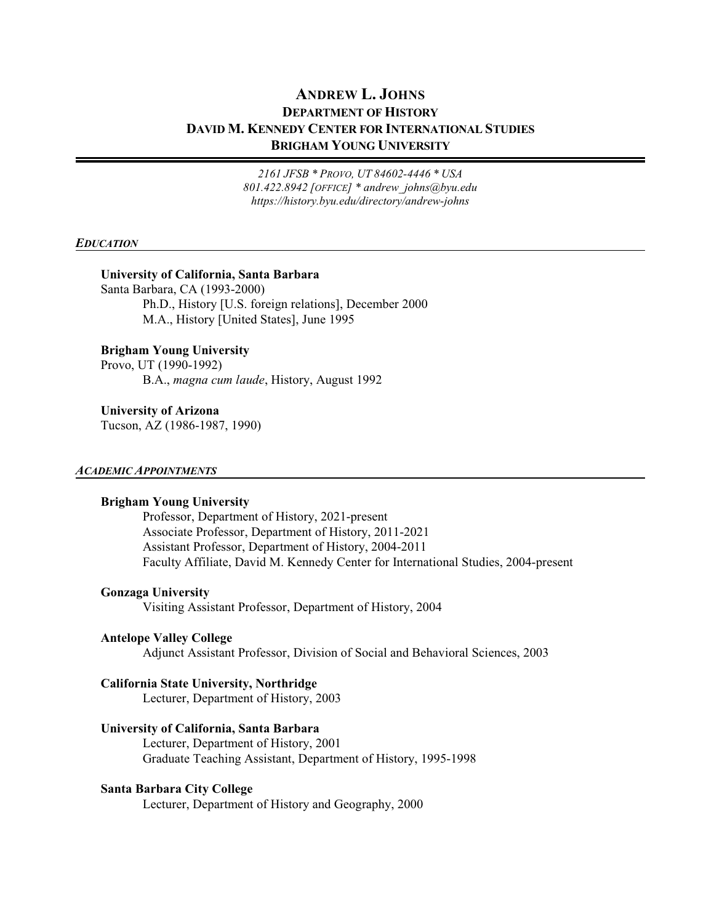# **ANDREW L. JOHNS DEPARTMENT OF HISTORY DAVID M. KENNEDY CENTER FOR INTERNATIONAL STUDIES BRIGHAM YOUNG UNIVERSITY**

*2161 JFSB \* PROVO, UT 84602-4446 \* USA 801.422.8942 [OFFICE] \* andrew\_johns@byu.edu https://history.byu.edu/directory/andrew-johns*

#### *EDUCATION*

#### **University of California, Santa Barbara**

Santa Barbara, CA (1993-2000) Ph.D., History [U.S. foreign relations], December 2000 M.A., History [United States], June 1995

## **Brigham Young University**

Provo, UT (1990-1992) B.A., *magna cum laude*, History, August 1992

**University of Arizona** Tucson, AZ (1986-1987, 1990)

#### *ACADEMIC APPOINTMENTS*

#### **Brigham Young University**

Professor, Department of History, 2021-present Associate Professor, Department of History, 2011-2021 Assistant Professor, Department of History, 2004-2011 Faculty Affiliate, David M. Kennedy Center for International Studies, 2004-present

#### **Gonzaga University**

Visiting Assistant Professor, Department of History, 2004

#### **Antelope Valley College**

Adjunct Assistant Professor, Division of Social and Behavioral Sciences, 2003

#### **California State University, Northridge**

Lecturer, Department of History, 2003

#### **University of California, Santa Barbara**

Lecturer, Department of History, 2001 Graduate Teaching Assistant, Department of History, 1995-1998

#### **Santa Barbara City College**

Lecturer, Department of History and Geography, 2000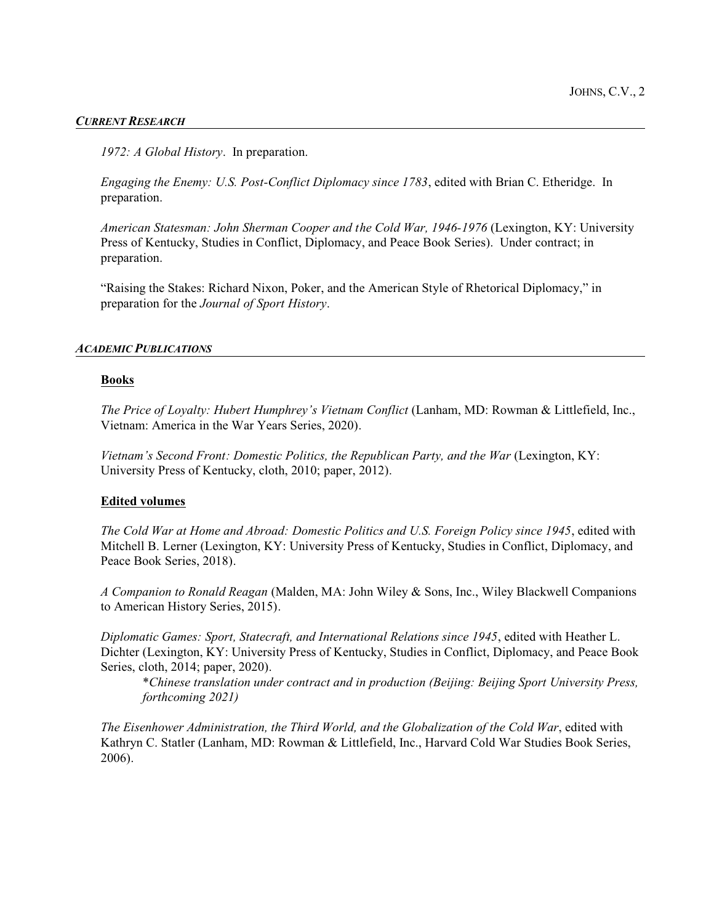#### *CURRENT RESEARCH*

*1972: A Global History*. In preparation.

*Engaging the Enemy: U.S. Post-Conflict Diplomacy since 1783*, edited with Brian C. Etheridge. In preparation.

*American Statesman: John Sherman Cooper and the Cold War, 1946-1976* (Lexington, KY: University Press of Kentucky, Studies in Conflict, Diplomacy, and Peace Book Series). Under contract; in preparation.

"Raising the Stakes: Richard Nixon, Poker, and the American Style of Rhetorical Diplomacy," in preparation for the *Journal of Sport History*.

#### *ACADEMIC PUBLICATIONS*

#### **Books**

*The Price of Loyalty: Hubert Humphrey's Vietnam Conflict* (Lanham, MD: Rowman & Littlefield, Inc., Vietnam: America in the War Years Series, 2020).

*Vietnam's Second Front: Domestic Politics, the Republican Party, and the War (Lexington, KY:* University Press of Kentucky, cloth, 2010; paper, 2012).

#### **Edited volumes**

*The Cold War at Home and Abroad: Domestic Politics and U.S. Foreign Policy since 1945*, edited with Mitchell B. Lerner (Lexington, KY: University Press of Kentucky, Studies in Conflict, Diplomacy, and Peace Book Series, 2018).

*A Companion to Ronald Reagan* (Malden, MA: John Wiley & Sons, Inc., Wiley Blackwell Companions to American History Series, 2015).

*Diplomatic Games: Sport, Statecraft, and International Relations since 1945*, edited with Heather L. Dichter (Lexington, KY: University Press of Kentucky, Studies in Conflict, Diplomacy, and Peace Book Series, cloth, 2014; paper, 2020).

\**Chinese translation under contract and in production (Beijing: Beijing Sport University Press, forthcoming 2021)*

*The Eisenhower Administration, the Third World, and the Globalization of the Cold War*, edited with Kathryn C. Statler (Lanham, MD: Rowman & Littlefield, Inc., Harvard Cold War Studies Book Series, 2006).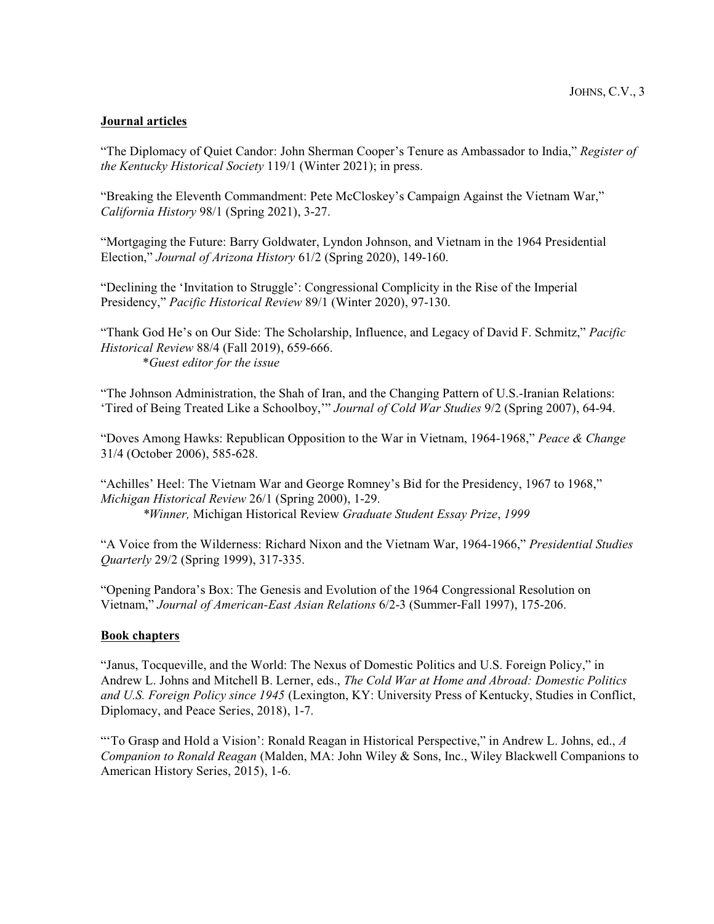## **Journal articles**

"The Diplomacy of Quiet Candor: John Sherman Cooper's Tenure as Ambassador to India," *Register of the Kentucky Historical Society* 119/1 (Winter 2021); in press.

"Breaking the Eleventh Commandment: Pete McCloskey's Campaign Against the Vietnam War," *California History* 98/1 (Spring 2021), 3-27.

"Mortgaging the Future: Barry Goldwater, Lyndon Johnson, and Vietnam in the 1964 Presidential Election," *Journal of Arizona History* 61/2 (Spring 2020), 149-160.

"Declining the 'Invitation to Struggle': Congressional Complicity in the Rise of the Imperial Presidency," *Pacific Historical Review* 89/1 (Winter 2020), 97-130.

"Thank God He's on Our Side: The Scholarship, Influence, and Legacy of David F. Schmitz," *Pacific Historical Review* 88/4 (Fall 2019), 659-666. \**Guest editor for the issue*

"The Johnson Administration, the Shah of Iran, and the Changing Pattern of U.S.-Iranian Relations: 'Tired of Being Treated Like a Schoolboy,'" *Journal of Cold War Studies* 9/2 (Spring 2007), 64-94.

"Doves Among Hawks: Republican Opposition to the War in Vietnam, 1964-1968," *Peace & Change* 31/4 (October 2006), 585-628.

"Achilles' Heel: The Vietnam War and George Romney's Bid for the Presidency, 1967 to 1968," *Michigan Historical Review* 26/1 (Spring 2000), 1-29. *\*Winner,* Michigan Historical Review *Graduate Student Essay Prize*, *1999*

"A Voice from the Wilderness: Richard Nixon and the Vietnam War, 1964-1966," *Presidential Studies Quarterly* 29/2 (Spring 1999), 317-335.

"Opening Pandora's Box: The Genesis and Evolution of the 1964 Congressional Resolution on Vietnam," *Journal of American-East Asian Relations* 6/2-3 (Summer-Fall 1997), 175-206.

## **Book chapters**

"Janus, Tocqueville, and the World: The Nexus of Domestic Politics and U.S. Foreign Policy," in Andrew L. Johns and Mitchell B. Lerner, eds., *The Cold War at Home and Abroad: Domestic Politics and U.S. Foreign Policy since 1945* (Lexington, KY: University Press of Kentucky, Studies in Conflict, Diplomacy, and Peace Series, 2018), 1-7.

"'To Grasp and Hold a Vision': Ronald Reagan in Historical Perspective," in Andrew L. Johns, ed., *A Companion to Ronald Reagan* (Malden, MA: John Wiley & Sons, Inc., Wiley Blackwell Companions to American History Series, 2015), 1-6.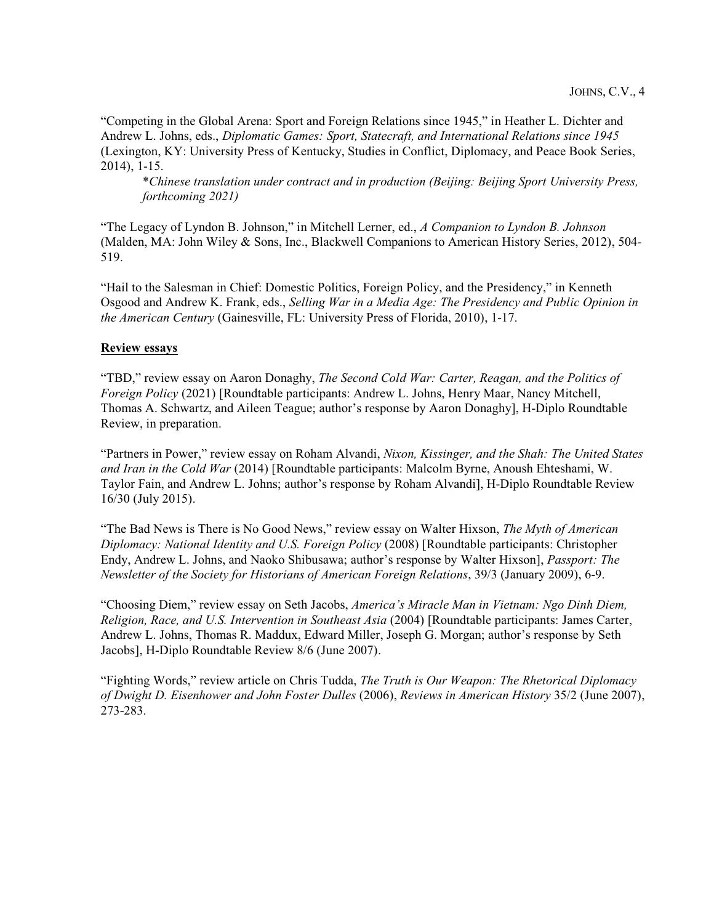"Competing in the Global Arena: Sport and Foreign Relations since 1945," in Heather L. Dichter and Andrew L. Johns, eds., *Diplomatic Games: Sport, Statecraft, and International Relations since 1945* (Lexington, KY: University Press of Kentucky, Studies in Conflict, Diplomacy, and Peace Book Series, 2014), 1-15.

\**Chinese translation under contract and in production (Beijing: Beijing Sport University Press, forthcoming 2021)*

"The Legacy of Lyndon B. Johnson," in Mitchell Lerner, ed., *A Companion to Lyndon B. Johnson* (Malden, MA: John Wiley & Sons, Inc., Blackwell Companions to American History Series, 2012), 504- 519.

"Hail to the Salesman in Chief: Domestic Politics, Foreign Policy, and the Presidency," in Kenneth Osgood and Andrew K. Frank, eds., *Selling War in a Media Age: The Presidency and Public Opinion in the American Century* (Gainesville, FL: University Press of Florida, 2010), 1-17.

## **Review essays**

"TBD," review essay on Aaron Donaghy, *The Second Cold War: Carter, Reagan, and the Politics of Foreign Policy* (2021) [Roundtable participants: Andrew L. Johns, Henry Maar, Nancy Mitchell, Thomas A. Schwartz, and Aileen Teague; author's response by Aaron Donaghy], H-Diplo Roundtable Review, in preparation.

"Partners in Power," review essay on Roham Alvandi, *Nixon, Kissinger, and the Shah: The United States and Iran in the Cold War* (2014) [Roundtable participants: Malcolm Byrne, Anoush Ehteshami, W. Taylor Fain, and Andrew L. Johns; author's response by Roham Alvandi], H-Diplo Roundtable Review 16/30 (July 2015).

"The Bad News is There is No Good News," review essay on Walter Hixson, *The Myth of American Diplomacy: National Identity and U.S. Foreign Policy* (2008) [Roundtable participants: Christopher Endy, Andrew L. Johns, and Naoko Shibusawa; author's response by Walter Hixson], *Passport: The Newsletter of the Society for Historians of American Foreign Relations*, 39/3 (January 2009), 6-9.

"Choosing Diem," review essay on Seth Jacobs, *America's Miracle Man in Vietnam: Ngo Dinh Diem, Religion, Race, and U.S. Intervention in Southeast Asia* (2004) [Roundtable participants: James Carter, Andrew L. Johns, Thomas R. Maddux, Edward Miller, Joseph G. Morgan; author's response by Seth Jacobs], H-Diplo Roundtable Review 8/6 (June 2007).

"Fighting Words," review article on Chris Tudda, *The Truth is Our Weapon: The Rhetorical Diplomacy of Dwight D. Eisenhower and John Foster Dulles* (2006), *Reviews in American History* 35/2 (June 2007), 273-283.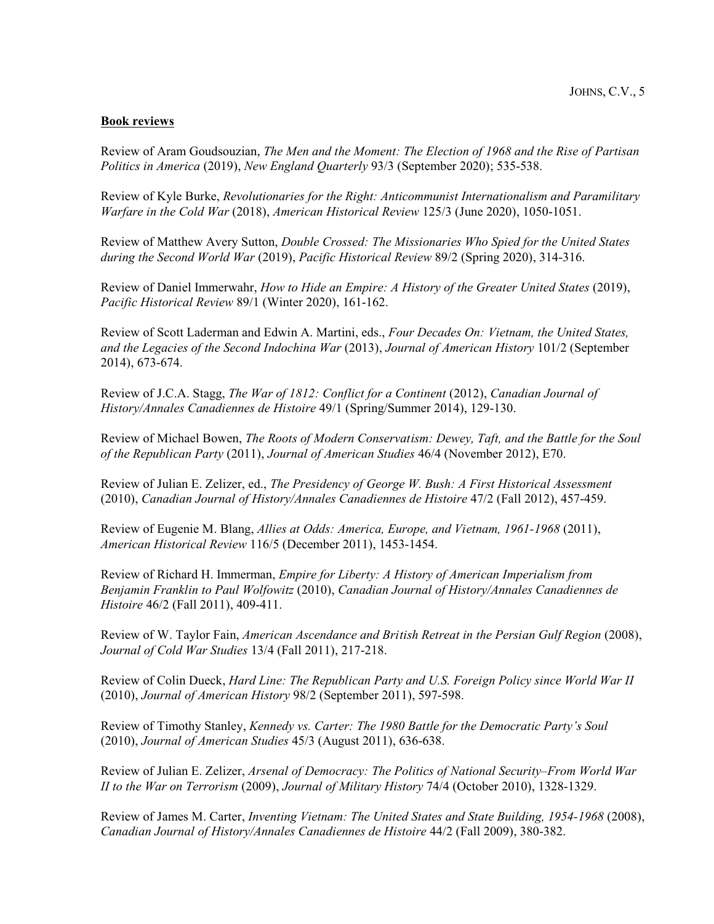## **Book reviews**

Review of Aram Goudsouzian, *The Men and the Moment: The Election of 1968 and the Rise of Partisan Politics in America* (2019), *New England Quarterly* 93/3 (September 2020); 535-538.

Review of Kyle Burke, *Revolutionaries for the Right: Anticommunist Internationalism and Paramilitary Warfare in the Cold War* (2018), *American Historical Review* 125/3 (June 2020), 1050-1051.

Review of Matthew Avery Sutton, *Double Crossed: The Missionaries Who Spied for the United States during the Second World War* (2019), *Pacific Historical Review* 89/2 (Spring 2020), 314-316.

Review of Daniel Immerwahr, *How to Hide an Empire: A History of the Greater United States* (2019), *Pacific Historical Review* 89/1 (Winter 2020), 161-162.

Review of Scott Laderman and Edwin A. Martini, eds., *Four Decades On: Vietnam, the United States, and the Legacies of the Second Indochina War* (2013), *Journal of American History* 101/2 (September 2014), 673-674.

Review of J.C.A. Stagg, *The War of 1812: Conflict for a Continent* (2012), *Canadian Journal of History/Annales Canadiennes de Histoire* 49/1 (Spring/Summer 2014), 129-130.

Review of Michael Bowen, *The Roots of Modern Conservatism: Dewey, Taft, and the Battle for the Soul of the Republican Party* (2011), *Journal of American Studies* 46/4 (November 2012), E70.

Review of Julian E. Zelizer, ed., *The Presidency of George W. Bush: A First Historical Assessment* (2010), *Canadian Journal of History/Annales Canadiennes de Histoire* 47/2 (Fall 2012), 457-459.

Review of Eugenie M. Blang, *Allies at Odds: America, Europe, and Vietnam, 1961-1968* (2011), *American Historical Review* 116/5 (December 2011), 1453-1454.

Review of Richard H. Immerman, *Empire for Liberty: A History of American Imperialism from Benjamin Franklin to Paul Wolfowitz* (2010), *Canadian Journal of History/Annales Canadiennes de Histoire* 46/2 (Fall 2011), 409-411.

Review of W. Taylor Fain, *American Ascendance and British Retreat in the Persian Gulf Region* (2008), *Journal of Cold War Studies* 13/4 (Fall 2011), 217-218.

Review of Colin Dueck, *Hard Line: The Republican Party and U.S. Foreign Policy since World War II* (2010), *Journal of American History* 98/2 (September 2011), 597-598.

Review of Timothy Stanley, *Kennedy vs. Carter: The 1980 Battle for the Democratic Party's Soul* (2010), *Journal of American Studies* 45/3 (August 2011), 636-638.

Review of Julian E. Zelizer, *Arsenal of Democracy: The Politics of National Security–From World War II to the War on Terrorism* (2009), *Journal of Military History* 74/4 (October 2010), 1328-1329.

Review of James M. Carter, *Inventing Vietnam: The United States and State Building, 1954-1968* (2008), *Canadian Journal of History/Annales Canadiennes de Histoire* 44/2 (Fall 2009), 380-382.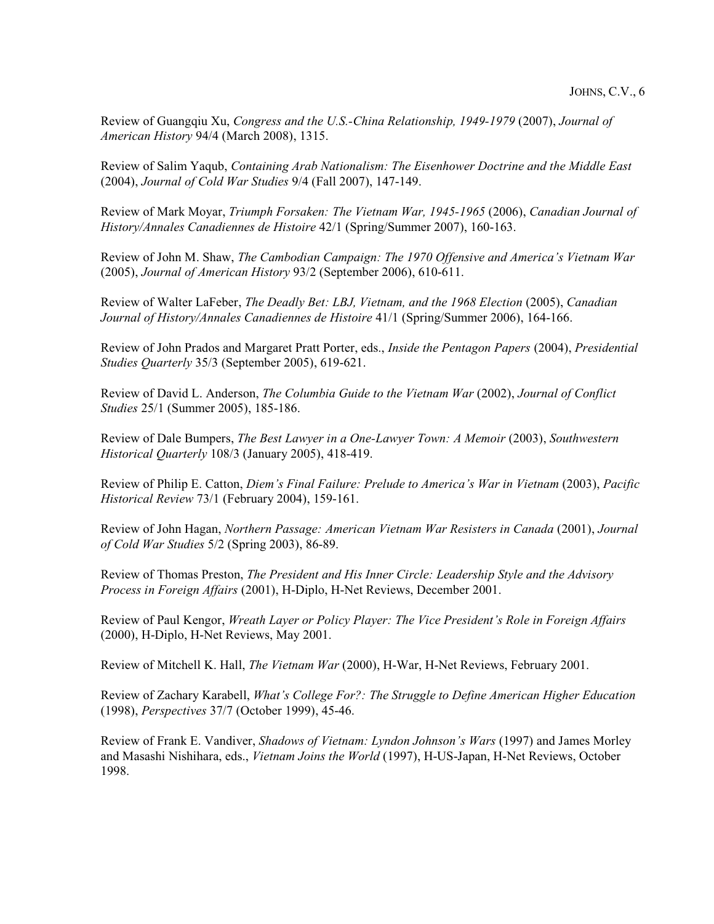Review of Guangqiu Xu, *Congress and the U.S.-China Relationship, 1949-1979* (2007), *Journal of American History* 94/4 (March 2008), 1315.

Review of Salim Yaqub, *Containing Arab Nationalism: The Eisenhower Doctrine and the Middle East* (2004), *Journal of Cold War Studies* 9/4 (Fall 2007), 147-149.

Review of Mark Moyar, *Triumph Forsaken: The Vietnam War, 1945-1965* (2006), *Canadian Journal of History/Annales Canadiennes de Histoire* 42/1 (Spring/Summer 2007), 160-163.

Review of John M. Shaw, *The Cambodian Campaign: The 1970 Offensive and America's Vietnam War* (2005), *Journal of American History* 93/2 (September 2006), 610-611.

Review of Walter LaFeber, *The Deadly Bet: LBJ, Vietnam, and the 1968 Election* (2005), *Canadian Journal of History/Annales Canadiennes de Histoire* 41/1 (Spring/Summer 2006), 164-166.

Review of John Prados and Margaret Pratt Porter, eds., *Inside the Pentagon Papers* (2004), *Presidential Studies Quarterly* 35/3 (September 2005), 619-621.

Review of David L. Anderson, *The Columbia Guide to the Vietnam War* (2002), *Journal of Conflict Studies* 25/1 (Summer 2005), 185-186.

Review of Dale Bumpers, *The Best Lawyer in a One-Lawyer Town: A Memoir* (2003), *Southwestern Historical Quarterly* 108/3 (January 2005), 418-419.

Review of Philip E. Catton, *Diem's Final Failure: Prelude to America's War in Vietnam* (2003), *Pacific Historical Review* 73/1 (February 2004), 159-161.

Review of John Hagan, *Northern Passage: American Vietnam War Resisters in Canada* (2001), *Journal of Cold War Studies* 5/2 (Spring 2003), 86-89.

Review of Thomas Preston, *The President and His Inner Circle: Leadership Style and the Advisory Process in Foreign Affairs* (2001), H-Diplo, H-Net Reviews, December 2001.

Review of Paul Kengor, *Wreath Layer or Policy Player: The Vice President's Role in Foreign Affairs* (2000), H-Diplo, H-Net Reviews, May 2001.

Review of Mitchell K. Hall, *The Vietnam War* (2000), H-War, H-Net Reviews, February 2001.

Review of Zachary Karabell, *What's College For?: The Struggle to Define American Higher Education* (1998), *Perspectives* 37/7 (October 1999), 45-46.

Review of Frank E. Vandiver, *Shadows of Vietnam: Lyndon Johnson's Wars* (1997) and James Morley and Masashi Nishihara, eds., *Vietnam Joins the World* (1997), H-US-Japan, H-Net Reviews, October 1998.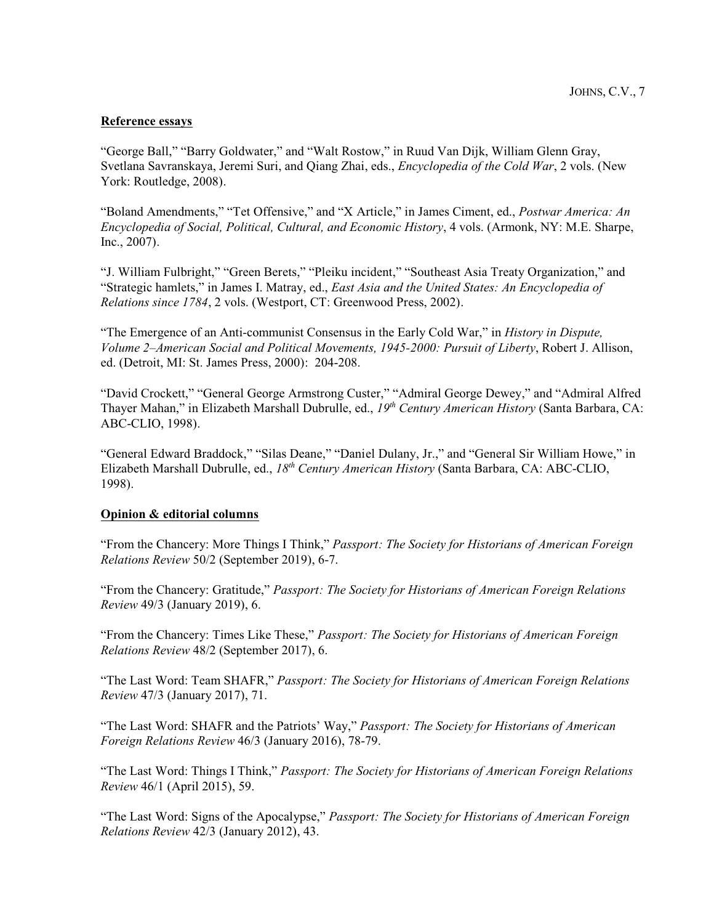#### **Reference essays**

"George Ball," "Barry Goldwater," and "Walt Rostow," in Ruud Van Dijk, William Glenn Gray, Svetlana Savranskaya, Jeremi Suri, and Qiang Zhai, eds., *Encyclopedia of the Cold War*, 2 vols. (New York: Routledge, 2008).

"Boland Amendments," "Tet Offensive," and "X Article," in James Ciment, ed., *Postwar America: An Encyclopedia of Social, Political, Cultural, and Economic History*, 4 vols. (Armonk, NY: M.E. Sharpe, Inc., 2007).

"J. William Fulbright," "Green Berets," "Pleiku incident," "Southeast Asia Treaty Organization," and "Strategic hamlets," in James I. Matray, ed., *East Asia and the United States: An Encyclopedia of Relations since 1784*, 2 vols. (Westport, CT: Greenwood Press, 2002).

"The Emergence of an Anti-communist Consensus in the Early Cold War," in *History in Dispute, Volume 2–American Social and Political Movements, 1945-2000: Pursuit of Liberty*, Robert J. Allison, ed. (Detroit, MI: St. James Press, 2000): 204-208.

"David Crockett," "General George Armstrong Custer," "Admiral George Dewey," and "Admiral Alfred Thayer Mahan," in Elizabeth Marshall Dubrulle, ed., *19th Century American History* (Santa Barbara, CA: ABC-CLIO, 1998).

"General Edward Braddock," "Silas Deane," "Daniel Dulany, Jr.," and "General Sir William Howe," in Elizabeth Marshall Dubrulle, ed., *18th Century American History* (Santa Barbara, CA: ABC-CLIO, 1998).

#### **Opinion & editorial columns**

"From the Chancery: More Things I Think," *Passport: The Society for Historians of American Foreign Relations Review* 50/2 (September 2019), 6-7.

"From the Chancery: Gratitude," *Passport: The Society for Historians of American Foreign Relations Review* 49/3 (January 2019), 6.

"From the Chancery: Times Like These," *Passport: The Society for Historians of American Foreign Relations Review* 48/2 (September 2017), 6.

"The Last Word: Team SHAFR," *Passport: The Society for Historians of American Foreign Relations Review* 47/3 (January 2017), 71.

"The Last Word: SHAFR and the Patriots' Way," *Passport: The Society for Historians of American Foreign Relations Review* 46/3 (January 2016), 78-79.

"The Last Word: Things I Think," *Passport: The Society for Historians of American Foreign Relations Review* 46/1 (April 2015), 59.

"The Last Word: Signs of the Apocalypse," *Passport: The Society for Historians of American Foreign Relations Review* 42/3 (January 2012), 43.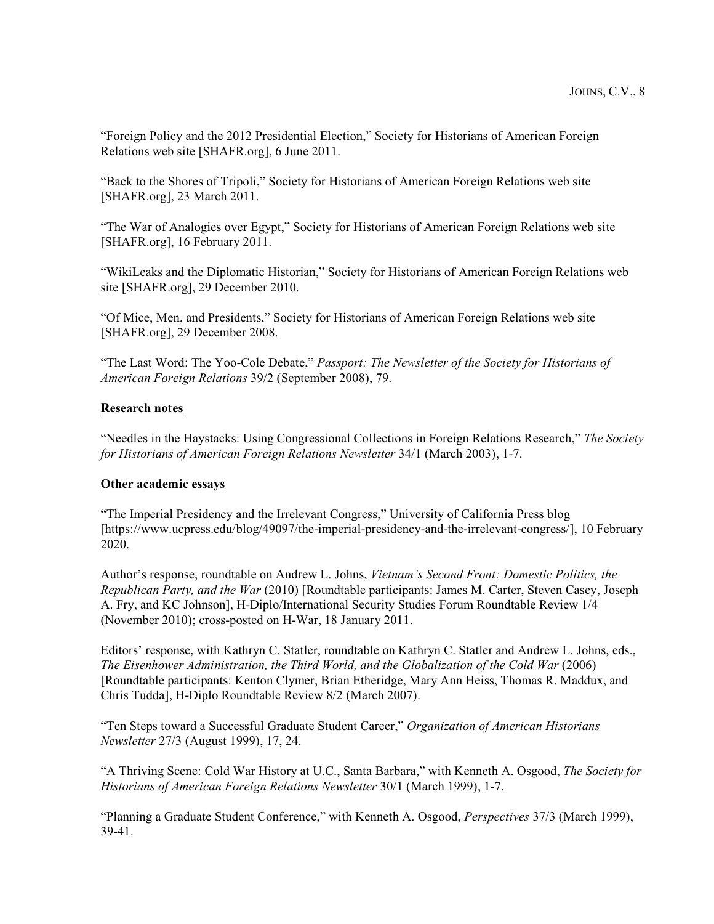"Foreign Policy and the 2012 Presidential Election," Society for Historians of American Foreign Relations web site [SHAFR.org], 6 June 2011.

"Back to the Shores of Tripoli," Society for Historians of American Foreign Relations web site [SHAFR.org], 23 March 2011.

"The War of Analogies over Egypt," Society for Historians of American Foreign Relations web site [SHAFR.org], 16 February 2011.

"WikiLeaks and the Diplomatic Historian," Society for Historians of American Foreign Relations web site [SHAFR.org], 29 December 2010.

"Of Mice, Men, and Presidents," Society for Historians of American Foreign Relations web site [SHAFR.org], 29 December 2008.

"The Last Word: The Yoo-Cole Debate," *Passport: The Newsletter of the Society for Historians of American Foreign Relations* 39/2 (September 2008), 79.

## **Research notes**

"Needles in the Haystacks: Using Congressional Collections in Foreign Relations Research," *The Society for Historians of American Foreign Relations Newsletter* 34/1 (March 2003), 1-7.

#### **Other academic essays**

"The Imperial Presidency and the Irrelevant Congress," University of California Press blog [https://www.ucpress.edu/blog/49097/the-imperial-presidency-and-the-irrelevant-congress/], 10 February 2020.

Author's response, roundtable on Andrew L. Johns, *Vietnam's Second Front: Domestic Politics, the Republican Party, and the War* (2010) [Roundtable participants: James M. Carter, Steven Casey, Joseph A. Fry, and KC Johnson], H-Diplo/International Security Studies Forum Roundtable Review 1/4 (November 2010); cross-posted on H-War, 18 January 2011.

Editors' response, with Kathryn C. Statler, roundtable on Kathryn C. Statler and Andrew L. Johns, eds., *The Eisenhower Administration, the Third World, and the Globalization of the Cold War* (2006) [Roundtable participants: Kenton Clymer, Brian Etheridge, Mary Ann Heiss, Thomas R. Maddux, and Chris Tudda], H-Diplo Roundtable Review 8/2 (March 2007).

"Ten Steps toward a Successful Graduate Student Career," *Organization of American Historians Newsletter* 27/3 (August 1999), 17, 24.

"A Thriving Scene: Cold War History at U.C., Santa Barbara," with Kenneth A. Osgood, *The Society for Historians of American Foreign Relations Newsletter* 30/1 (March 1999), 1-7.

"Planning a Graduate Student Conference," with Kenneth A. Osgood, *Perspectives* 37/3 (March 1999), 39-41.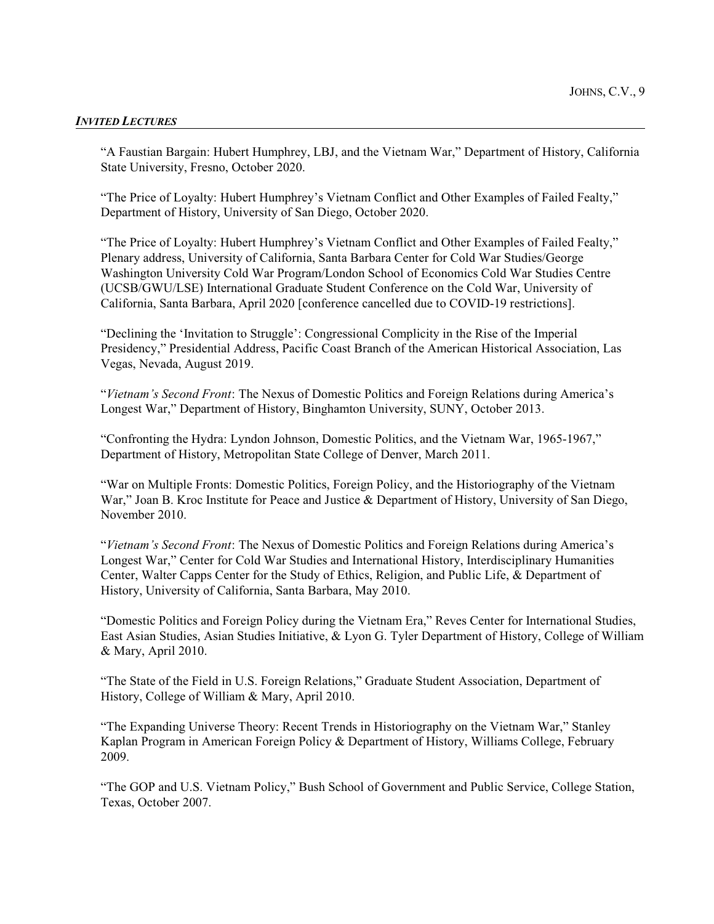#### *INVITED LECTURES*

"A Faustian Bargain: Hubert Humphrey, LBJ, and the Vietnam War," Department of History, California State University, Fresno, October 2020.

"The Price of Loyalty: Hubert Humphrey's Vietnam Conflict and Other Examples of Failed Fealty," Department of History, University of San Diego, October 2020.

"The Price of Loyalty: Hubert Humphrey's Vietnam Conflict and Other Examples of Failed Fealty," Plenary address, University of California, Santa Barbara Center for Cold War Studies/George Washington University Cold War Program/London School of Economics Cold War Studies Centre (UCSB/GWU/LSE) International Graduate Student Conference on the Cold War, University of California, Santa Barbara, April 2020 [conference cancelled due to COVID-19 restrictions].

"Declining the 'Invitation to Struggle': Congressional Complicity in the Rise of the Imperial Presidency," Presidential Address, Pacific Coast Branch of the American Historical Association, Las Vegas, Nevada, August 2019.

"*Vietnam's Second Front*: The Nexus of Domestic Politics and Foreign Relations during America's Longest War," Department of History, Binghamton University, SUNY, October 2013.

"Confronting the Hydra: Lyndon Johnson, Domestic Politics, and the Vietnam War, 1965-1967," Department of History, Metropolitan State College of Denver, March 2011.

"War on Multiple Fronts: Domestic Politics, Foreign Policy, and the Historiography of the Vietnam War," Joan B. Kroc Institute for Peace and Justice & Department of History, University of San Diego, November 2010.

"*Vietnam's Second Front*: The Nexus of Domestic Politics and Foreign Relations during America's Longest War," Center for Cold War Studies and International History, Interdisciplinary Humanities Center, Walter Capps Center for the Study of Ethics, Religion, and Public Life, & Department of History, University of California, Santa Barbara, May 2010.

"Domestic Politics and Foreign Policy during the Vietnam Era," Reves Center for International Studies, East Asian Studies, Asian Studies Initiative, & Lyon G. Tyler Department of History, College of William & Mary, April 2010.

"The State of the Field in U.S. Foreign Relations," Graduate Student Association, Department of History, College of William & Mary, April 2010.

"The Expanding Universe Theory: Recent Trends in Historiography on the Vietnam War," Stanley Kaplan Program in American Foreign Policy & Department of History, Williams College, February 2009.

"The GOP and U.S. Vietnam Policy," Bush School of Government and Public Service, College Station, Texas, October 2007.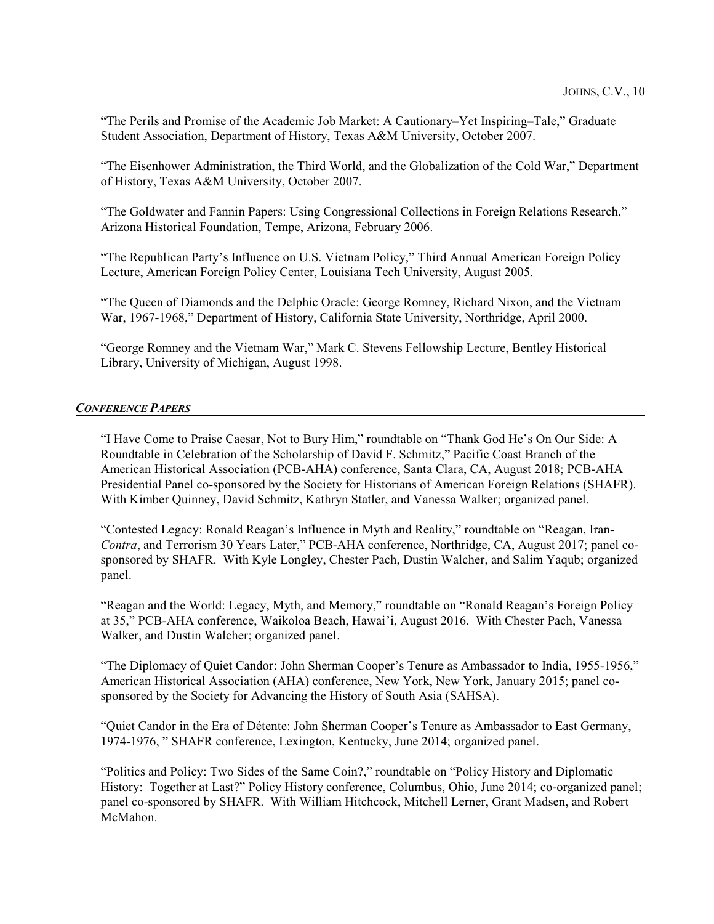"The Perils and Promise of the Academic Job Market: A Cautionary–Yet Inspiring–Tale," Graduate Student Association, Department of History, Texas A&M University, October 2007.

"The Eisenhower Administration, the Third World, and the Globalization of the Cold War," Department of History, Texas A&M University, October 2007.

"The Goldwater and Fannin Papers: Using Congressional Collections in Foreign Relations Research," Arizona Historical Foundation, Tempe, Arizona, February 2006.

"The Republican Party's Influence on U.S. Vietnam Policy," Third Annual American Foreign Policy Lecture, American Foreign Policy Center, Louisiana Tech University, August 2005.

"The Queen of Diamonds and the Delphic Oracle: George Romney, Richard Nixon, and the Vietnam War, 1967-1968," Department of History, California State University, Northridge, April 2000.

"George Romney and the Vietnam War," Mark C. Stevens Fellowship Lecture, Bentley Historical Library, University of Michigan, August 1998.

# *CONFERENCE PAPERS*

"I Have Come to Praise Caesar, Not to Bury Him," roundtable on "Thank God He's On Our Side: A Roundtable in Celebration of the Scholarship of David F. Schmitz," Pacific Coast Branch of the American Historical Association (PCB-AHA) conference, Santa Clara, CA, August 2018; PCB-AHA Presidential Panel co-sponsored by the Society for Historians of American Foreign Relations (SHAFR). With Kimber Quinney, David Schmitz, Kathryn Statler, and Vanessa Walker; organized panel.

"Contested Legacy: Ronald Reagan's Influence in Myth and Reality," roundtable on "Reagan, Iran-*Contra*, and Terrorism 30 Years Later," PCB-AHA conference, Northridge, CA, August 2017; panel cosponsored by SHAFR. With Kyle Longley, Chester Pach, Dustin Walcher, and Salim Yaqub; organized panel.

"Reagan and the World: Legacy, Myth, and Memory," roundtable on "Ronald Reagan's Foreign Policy at 35," PCB-AHA conference, Waikoloa Beach, Hawai'i, August 2016. With Chester Pach, Vanessa Walker, and Dustin Walcher; organized panel.

"The Diplomacy of Quiet Candor: John Sherman Cooper's Tenure as Ambassador to India, 1955-1956," American Historical Association (AHA) conference, New York, New York, January 2015; panel cosponsored by the Society for Advancing the History of South Asia (SAHSA).

"Quiet Candor in the Era of Détente: John Sherman Cooper's Tenure as Ambassador to East Germany, 1974-1976, " SHAFR conference, Lexington, Kentucky, June 2014; organized panel.

"Politics and Policy: Two Sides of the Same Coin?," roundtable on "Policy History and Diplomatic History: Together at Last?" Policy History conference, Columbus, Ohio, June 2014; co-organized panel; panel co-sponsored by SHAFR. With William Hitchcock, Mitchell Lerner, Grant Madsen, and Robert McMahon.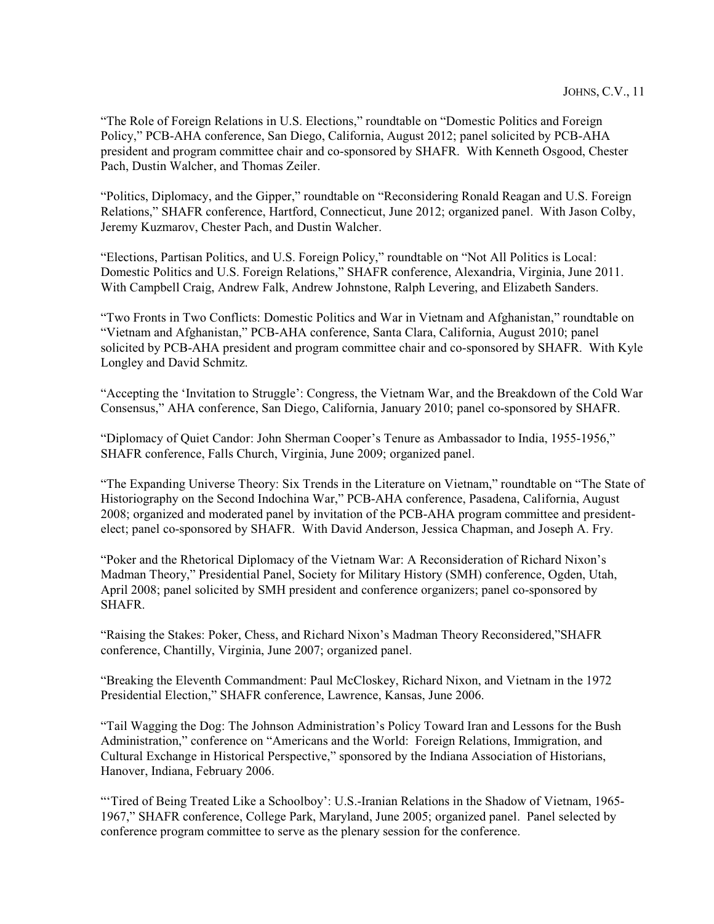"The Role of Foreign Relations in U.S. Elections," roundtable on "Domestic Politics and Foreign Policy," PCB-AHA conference, San Diego, California, August 2012; panel solicited by PCB-AHA president and program committee chair and co-sponsored by SHAFR. With Kenneth Osgood, Chester Pach, Dustin Walcher, and Thomas Zeiler.

"Politics, Diplomacy, and the Gipper," roundtable on "Reconsidering Ronald Reagan and U.S. Foreign Relations," SHAFR conference, Hartford, Connecticut, June 2012; organized panel. With Jason Colby, Jeremy Kuzmarov, Chester Pach, and Dustin Walcher.

"Elections, Partisan Politics, and U.S. Foreign Policy," roundtable on "Not All Politics is Local: Domestic Politics and U.S. Foreign Relations," SHAFR conference, Alexandria, Virginia, June 2011. With Campbell Craig, Andrew Falk, Andrew Johnstone, Ralph Levering, and Elizabeth Sanders.

"Two Fronts in Two Conflicts: Domestic Politics and War in Vietnam and Afghanistan," roundtable on "Vietnam and Afghanistan," PCB-AHA conference, Santa Clara, California, August 2010; panel solicited by PCB-AHA president and program committee chair and co-sponsored by SHAFR. With Kyle Longley and David Schmitz.

"Accepting the 'Invitation to Struggle': Congress, the Vietnam War, and the Breakdown of the Cold War Consensus," AHA conference, San Diego, California, January 2010; panel co-sponsored by SHAFR.

"Diplomacy of Quiet Candor: John Sherman Cooper's Tenure as Ambassador to India, 1955-1956," SHAFR conference, Falls Church, Virginia, June 2009; organized panel.

"The Expanding Universe Theory: Six Trends in the Literature on Vietnam," roundtable on "The State of Historiography on the Second Indochina War," PCB-AHA conference, Pasadena, California, August 2008; organized and moderated panel by invitation of the PCB-AHA program committee and presidentelect; panel co-sponsored by SHAFR. With David Anderson, Jessica Chapman, and Joseph A. Fry.

"Poker and the Rhetorical Diplomacy of the Vietnam War: A Reconsideration of Richard Nixon's Madman Theory," Presidential Panel, Society for Military History (SMH) conference, Ogden, Utah, April 2008; panel solicited by SMH president and conference organizers; panel co-sponsored by SHAFR.

"Raising the Stakes: Poker, Chess, and Richard Nixon's Madman Theory Reconsidered,"SHAFR conference, Chantilly, Virginia, June 2007; organized panel.

"Breaking the Eleventh Commandment: Paul McCloskey, Richard Nixon, and Vietnam in the 1972 Presidential Election," SHAFR conference, Lawrence, Kansas, June 2006.

"Tail Wagging the Dog: The Johnson Administration's Policy Toward Iran and Lessons for the Bush Administration," conference on "Americans and the World: Foreign Relations, Immigration, and Cultural Exchange in Historical Perspective," sponsored by the Indiana Association of Historians, Hanover, Indiana, February 2006.

"Tired of Being Treated Like a Schoolboy': U.S.-Iranian Relations in the Shadow of Vietnam, 1965-1967," SHAFR conference, College Park, Maryland, June 2005; organized panel. Panel selected by conference program committee to serve as the plenary session for the conference.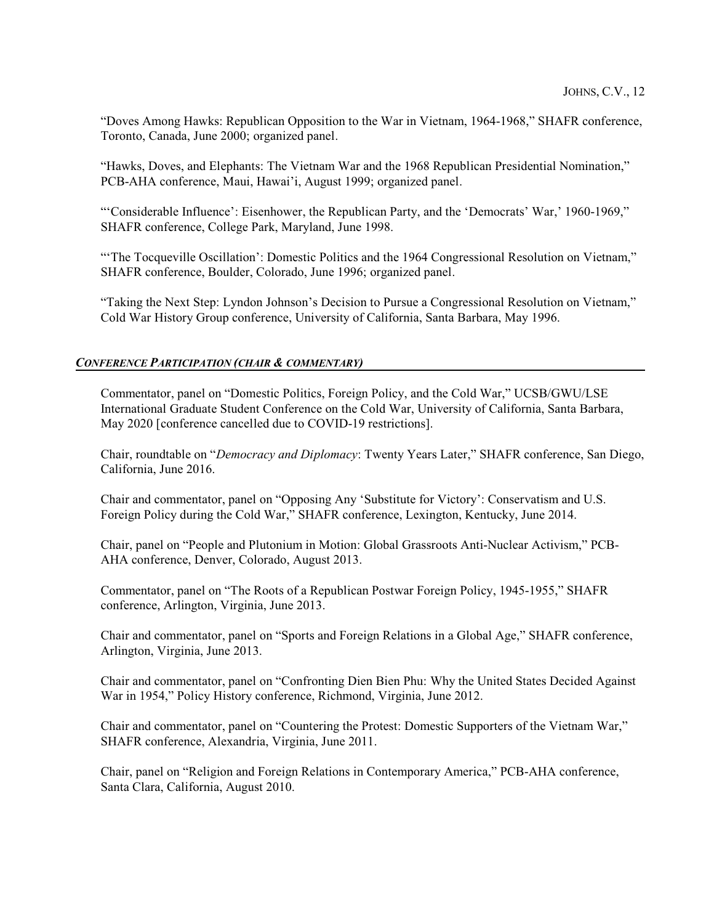"Doves Among Hawks: Republican Opposition to the War in Vietnam, 1964-1968," SHAFR conference, Toronto, Canada, June 2000; organized panel.

"Hawks, Doves, and Elephants: The Vietnam War and the 1968 Republican Presidential Nomination," PCB-AHA conference, Maui, Hawai'i, August 1999; organized panel.

"'Considerable Influence': Eisenhower, the Republican Party, and the 'Democrats' War,' 1960-1969," SHAFR conference, College Park, Maryland, June 1998.

"'The Tocqueville Oscillation': Domestic Politics and the 1964 Congressional Resolution on Vietnam," SHAFR conference, Boulder, Colorado, June 1996; organized panel.

"Taking the Next Step: Lyndon Johnson's Decision to Pursue a Congressional Resolution on Vietnam," Cold War History Group conference, University of California, Santa Barbara, May 1996.

#### *CONFERENCE PARTICIPATION (CHAIR & COMMENTARY)*

Commentator, panel on "Domestic Politics, Foreign Policy, and the Cold War," UCSB/GWU/LSE International Graduate Student Conference on the Cold War, University of California, Santa Barbara, May 2020 [conference cancelled due to COVID-19 restrictions].

Chair, roundtable on "*Democracy and Diplomacy*: Twenty Years Later," SHAFR conference, San Diego, California, June 2016.

Chair and commentator, panel on "Opposing Any 'Substitute for Victory': Conservatism and U.S. Foreign Policy during the Cold War," SHAFR conference, Lexington, Kentucky, June 2014.

Chair, panel on "People and Plutonium in Motion: Global Grassroots Anti-Nuclear Activism," PCB-AHA conference, Denver, Colorado, August 2013.

Commentator, panel on "The Roots of a Republican Postwar Foreign Policy, 1945-1955," SHAFR conference, Arlington, Virginia, June 2013.

Chair and commentator, panel on "Sports and Foreign Relations in a Global Age," SHAFR conference, Arlington, Virginia, June 2013.

Chair and commentator, panel on "Confronting Dien Bien Phu: Why the United States Decided Against War in 1954," Policy History conference, Richmond, Virginia, June 2012.

Chair and commentator, panel on "Countering the Protest: Domestic Supporters of the Vietnam War," SHAFR conference, Alexandria, Virginia, June 2011.

Chair, panel on "Religion and Foreign Relations in Contemporary America," PCB-AHA conference, Santa Clara, California, August 2010.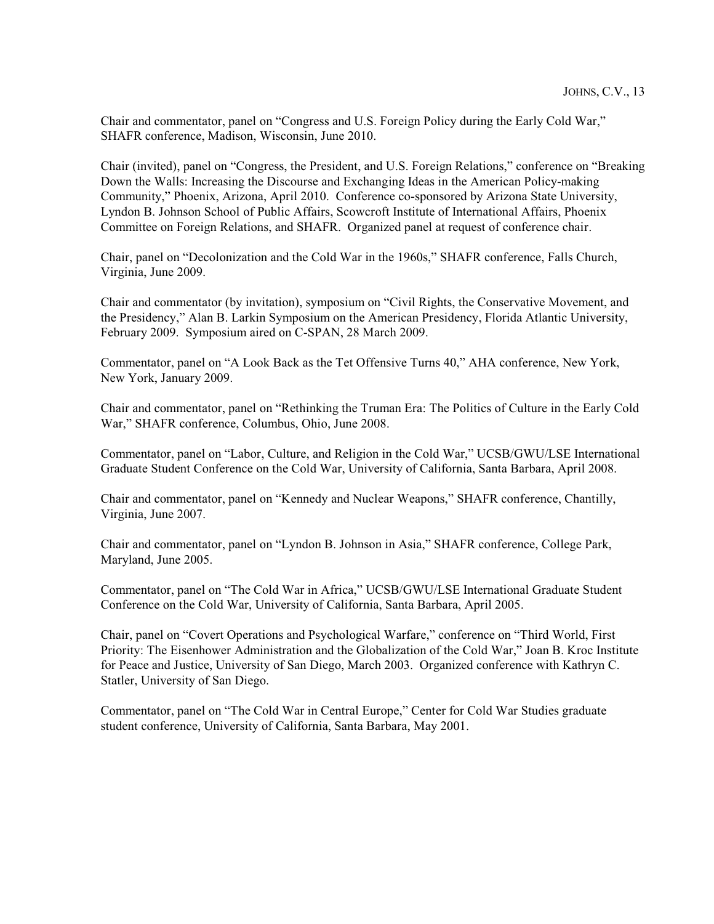Chair and commentator, panel on "Congress and U.S. Foreign Policy during the Early Cold War," SHAFR conference, Madison, Wisconsin, June 2010.

Chair (invited), panel on "Congress, the President, and U.S. Foreign Relations," conference on "Breaking Down the Walls: Increasing the Discourse and Exchanging Ideas in the American Policy-making Community," Phoenix, Arizona, April 2010. Conference co-sponsored by Arizona State University, Lyndon B. Johnson School of Public Affairs, Scowcroft Institute of International Affairs, Phoenix Committee on Foreign Relations, and SHAFR. Organized panel at request of conference chair.

Chair, panel on "Decolonization and the Cold War in the 1960s," SHAFR conference, Falls Church, Virginia, June 2009.

Chair and commentator (by invitation), symposium on "Civil Rights, the Conservative Movement, and the Presidency," Alan B. Larkin Symposium on the American Presidency, Florida Atlantic University, February 2009. Symposium aired on C-SPAN, 28 March 2009.

Commentator, panel on "A Look Back as the Tet Offensive Turns 40," AHA conference, New York, New York, January 2009.

Chair and commentator, panel on "Rethinking the Truman Era: The Politics of Culture in the Early Cold War," SHAFR conference, Columbus, Ohio, June 2008.

Commentator, panel on "Labor, Culture, and Religion in the Cold War," UCSB/GWU/LSE International Graduate Student Conference on the Cold War, University of California, Santa Barbara, April 2008.

Chair and commentator, panel on "Kennedy and Nuclear Weapons," SHAFR conference, Chantilly, Virginia, June 2007.

Chair and commentator, panel on "Lyndon B. Johnson in Asia," SHAFR conference, College Park, Maryland, June 2005.

Commentator, panel on "The Cold War in Africa," UCSB/GWU/LSE International Graduate Student Conference on the Cold War, University of California, Santa Barbara, April 2005.

Chair, panel on "Covert Operations and Psychological Warfare," conference on "Third World, First Priority: The Eisenhower Administration and the Globalization of the Cold War," Joan B. Kroc Institute for Peace and Justice, University of San Diego, March 2003. Organized conference with Kathryn C. Statler, University of San Diego.

Commentator, panel on "The Cold War in Central Europe," Center for Cold War Studies graduate student conference, University of California, Santa Barbara, May 2001.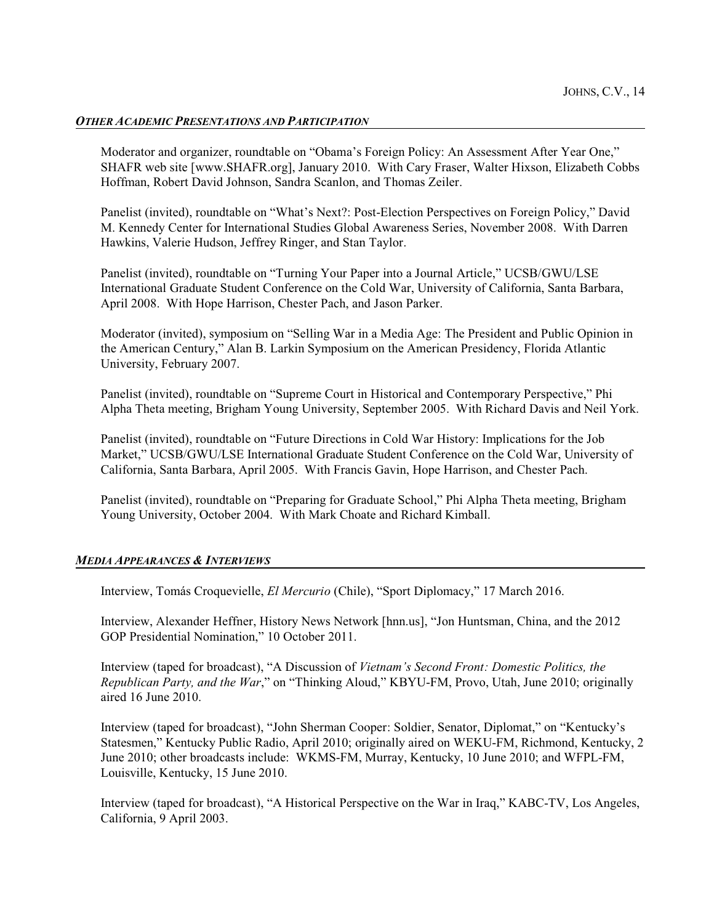## *OTHER ACADEMIC PRESENTATIONS AND PARTICIPATION*

Moderator and organizer, roundtable on "Obama's Foreign Policy: An Assessment After Year One," SHAFR web site [www.SHAFR.org], January 2010. With Cary Fraser, Walter Hixson, Elizabeth Cobbs Hoffman, Robert David Johnson, Sandra Scanlon, and Thomas Zeiler.

Panelist (invited), roundtable on "What's Next?: Post-Election Perspectives on Foreign Policy," David M. Kennedy Center for International Studies Global Awareness Series, November 2008. With Darren Hawkins, Valerie Hudson, Jeffrey Ringer, and Stan Taylor.

Panelist (invited), roundtable on "Turning Your Paper into a Journal Article," UCSB/GWU/LSE International Graduate Student Conference on the Cold War, University of California, Santa Barbara, April 2008. With Hope Harrison, Chester Pach, and Jason Parker.

Moderator (invited), symposium on "Selling War in a Media Age: The President and Public Opinion in the American Century," Alan B. Larkin Symposium on the American Presidency, Florida Atlantic University, February 2007.

Panelist (invited), roundtable on "Supreme Court in Historical and Contemporary Perspective," Phi Alpha Theta meeting, Brigham Young University, September 2005. With Richard Davis and Neil York.

Panelist (invited), roundtable on "Future Directions in Cold War History: Implications for the Job Market," UCSB/GWU/LSE International Graduate Student Conference on the Cold War, University of California, Santa Barbara, April 2005. With Francis Gavin, Hope Harrison, and Chester Pach.

Panelist (invited), roundtable on "Preparing for Graduate School," Phi Alpha Theta meeting, Brigham Young University, October 2004. With Mark Choate and Richard Kimball.

#### *MEDIA APPEARANCES & INTERVIEWS*

Interview, Tomás Croquevielle, *El Mercurio* (Chile), "Sport Diplomacy," 17 March 2016.

Interview, Alexander Heffner, History News Network [hnn.us], "Jon Huntsman, China, and the 2012 GOP Presidential Nomination," 10 October 2011.

Interview (taped for broadcast), "A Discussion of *Vietnam's Second Front: Domestic Politics, the Republican Party, and the War*," on "Thinking Aloud," KBYU-FM, Provo, Utah, June 2010; originally aired 16 June 2010.

Interview (taped for broadcast), "John Sherman Cooper: Soldier, Senator, Diplomat," on "Kentucky's Statesmen," Kentucky Public Radio, April 2010; originally aired on WEKU-FM, Richmond, Kentucky, 2 June 2010; other broadcasts include: WKMS-FM, Murray, Kentucky, 10 June 2010; and WFPL-FM, Louisville, Kentucky, 15 June 2010.

Interview (taped for broadcast), "A Historical Perspective on the War in Iraq," KABC-TV, Los Angeles, California, 9 April 2003.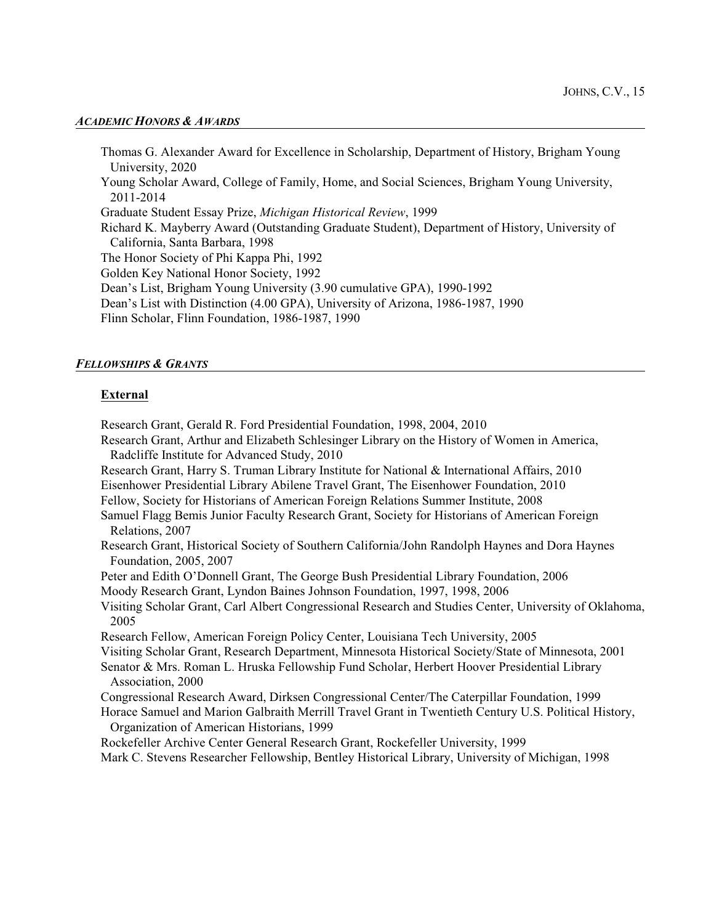#### *ACADEMIC HONORS & AWARDS*

Thomas G. Alexander Award for Excellence in Scholarship, Department of History, Brigham Young University, 2020 Young Scholar Award, College of Family, Home, and Social Sciences, Brigham Young University, 2011-2014 Graduate Student Essay Prize, *Michigan Historical Review*, 1999 Richard K. Mayberry Award (Outstanding Graduate Student), Department of History, University of California, Santa Barbara, 1998 The Honor Society of Phi Kappa Phi, 1992 Golden Key National Honor Society, 1992 Dean's List, Brigham Young University (3.90 cumulative GPA), 1990-1992 Dean's List with Distinction (4.00 GPA), University of Arizona, 1986-1987, 1990 Flinn Scholar, Flinn Foundation, 1986-1987, 1990

#### *FELLOWSHIPS & GRANTS*

#### **External**

Research Grant, Gerald R. Ford Presidential Foundation, 1998, 2004, 2010

Research Grant, Arthur and Elizabeth Schlesinger Library on the History of Women in America, Radcliffe Institute for Advanced Study, 2010

Research Grant, Harry S. Truman Library Institute for National & International Affairs, 2010

Eisenhower Presidential Library Abilene Travel Grant, The Eisenhower Foundation, 2010

Fellow, Society for Historians of American Foreign Relations Summer Institute, 2008

Samuel Flagg Bemis Junior Faculty Research Grant, Society for Historians of American Foreign Relations, 2007

Research Grant, Historical Society of Southern California/John Randolph Haynes and Dora Haynes Foundation, 2005, 2007

Peter and Edith O'Donnell Grant, The George Bush Presidential Library Foundation, 2006

Moody Research Grant, Lyndon Baines Johnson Foundation, 1997, 1998, 2006

Visiting Scholar Grant, Carl Albert Congressional Research and Studies Center, University of Oklahoma, 2005

Research Fellow, American Foreign Policy Center, Louisiana Tech University, 2005

Visiting Scholar Grant, Research Department, Minnesota Historical Society/State of Minnesota, 2001

Senator & Mrs. Roman L. Hruska Fellowship Fund Scholar, Herbert Hoover Presidential Library Association, 2000

Congressional Research Award, Dirksen Congressional Center/The Caterpillar Foundation, 1999

Horace Samuel and Marion Galbraith Merrill Travel Grant in Twentieth Century U.S. Political History, Organization of American Historians, 1999

Rockefeller Archive Center General Research Grant, Rockefeller University, 1999

Mark C. Stevens Researcher Fellowship, Bentley Historical Library, University of Michigan, 1998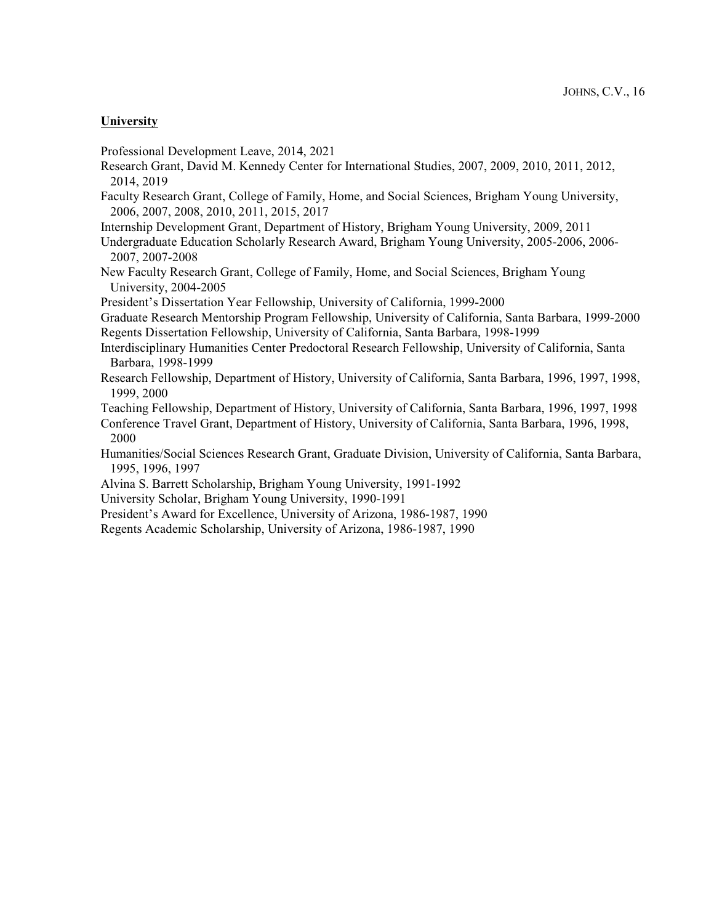## **University**

Professional Development Leave, 2014, 2021

- Research Grant, David M. Kennedy Center for International Studies, 2007, 2009, 2010, 2011, 2012, 2014, 2019
- Faculty Research Grant, College of Family, Home, and Social Sciences, Brigham Young University, 2006, 2007, 2008, 2010, 2011, 2015, 2017
- Internship Development Grant, Department of History, Brigham Young University, 2009, 2011
- Undergraduate Education Scholarly Research Award, Brigham Young University, 2005-2006, 2006- 2007, 2007-2008
- New Faculty Research Grant, College of Family, Home, and Social Sciences, Brigham Young University, 2004-2005

President's Dissertation Year Fellowship, University of California, 1999-2000

Graduate Research Mentorship Program Fellowship, University of California, Santa Barbara, 1999-2000 Regents Dissertation Fellowship, University of California, Santa Barbara, 1998-1999

- Interdisciplinary Humanities Center Predoctoral Research Fellowship, University of California, Santa Barbara, 1998-1999
- Research Fellowship, Department of History, University of California, Santa Barbara, 1996, 1997, 1998, 1999, 2000

Teaching Fellowship, Department of History, University of California, Santa Barbara, 1996, 1997, 1998

- Conference Travel Grant, Department of History, University of California, Santa Barbara, 1996, 1998, 2000
- Humanities/Social Sciences Research Grant, Graduate Division, University of California, Santa Barbara, 1995, 1996, 1997
- Alvina S. Barrett Scholarship, Brigham Young University, 1991-1992
- University Scholar, Brigham Young University, 1990-1991
- President's Award for Excellence, University of Arizona, 1986-1987, 1990
- Regents Academic Scholarship, University of Arizona, 1986-1987, 1990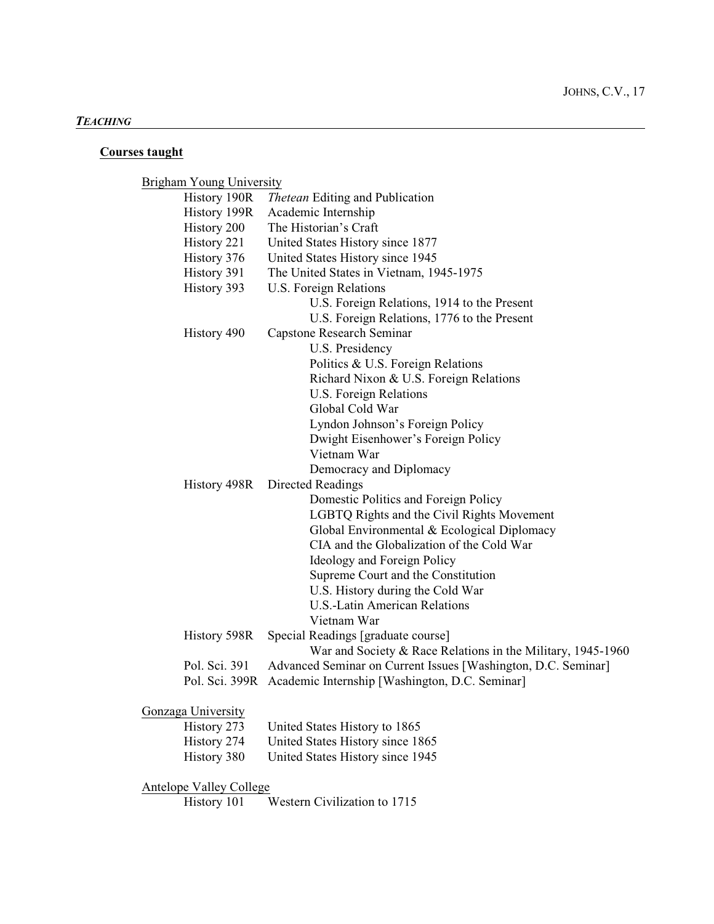# *TEACHING*

# **Courses taught**

Brigham Young University

| History 190R                   | Thetean Editing and Publication                               |
|--------------------------------|---------------------------------------------------------------|
| History 199R                   | Academic Internship                                           |
| History 200                    | The Historian's Craft                                         |
| History 221                    | United States History since 1877                              |
| History 376                    | United States History since 1945                              |
| History 391                    | The United States in Vietnam, 1945-1975                       |
| History 393                    | U.S. Foreign Relations                                        |
|                                | U.S. Foreign Relations, 1914 to the Present                   |
|                                | U.S. Foreign Relations, 1776 to the Present                   |
| History 490                    | <b>Capstone Research Seminar</b>                              |
|                                | U.S. Presidency                                               |
|                                | Politics & U.S. Foreign Relations                             |
|                                | Richard Nixon & U.S. Foreign Relations                        |
|                                | U.S. Foreign Relations                                        |
|                                | Global Cold War                                               |
|                                | Lyndon Johnson's Foreign Policy                               |
|                                | Dwight Eisenhower's Foreign Policy                            |
|                                | Vietnam War                                                   |
|                                | Democracy and Diplomacy                                       |
| History 498R                   | <b>Directed Readings</b>                                      |
|                                | Domestic Politics and Foreign Policy                          |
|                                | LGBTQ Rights and the Civil Rights Movement                    |
|                                | Global Environmental & Ecological Diplomacy                   |
|                                | CIA and the Globalization of the Cold War                     |
|                                | Ideology and Foreign Policy                                   |
|                                | Supreme Court and the Constitution                            |
|                                | U.S. History during the Cold War                              |
|                                | <b>U.S.-Latin American Relations</b>                          |
|                                | Vietnam War                                                   |
| History 598R                   | Special Readings [graduate course]                            |
|                                | War and Society & Race Relations in the Military, 1945-1960   |
| Pol. Sci. 391                  | Advanced Seminar on Current Issues [Washington, D.C. Seminar] |
| Pol. Sci. 399R                 | Academic Internship [Washington, D.C. Seminar]                |
| Gonzaga University             |                                                               |
| History 273                    | United States History to 1865                                 |
| History 274                    | United States History since 1865                              |
| History 380                    | United States History since 1945                              |
| <b>Antelope Valley College</b> |                                                               |

History 101 Western Civilization to 1715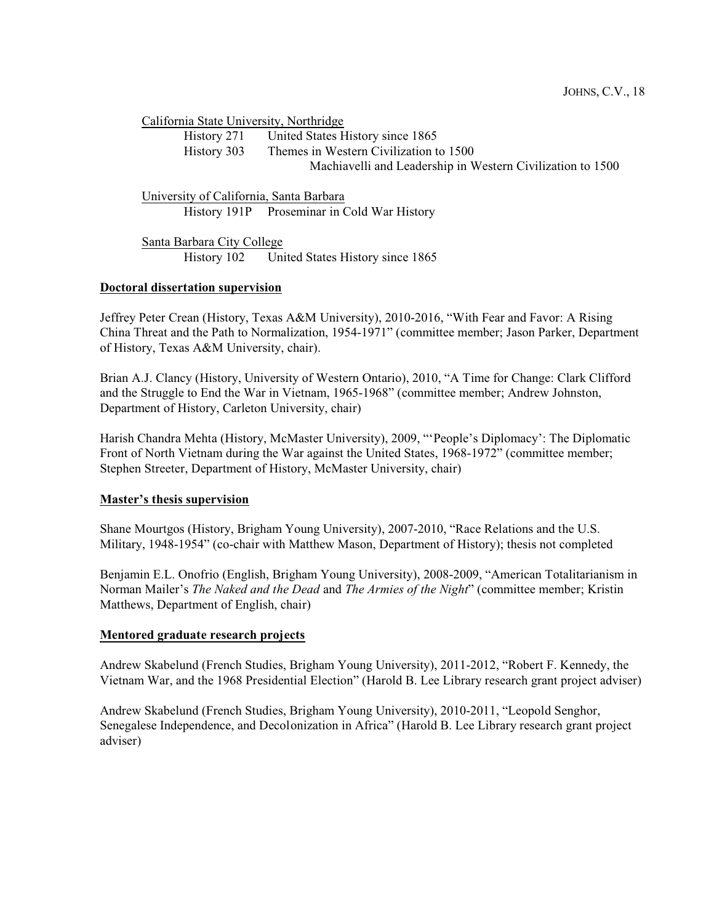California State University, Northridge

History 271 United States History since 1865 History 303 Themes in Western Civilization to 1500 Machiavelli and Leadership in Western Civilization to 1500

University of California, Santa Barbara History 191P Proseminar in Cold War History

Santa Barbara City College History 102 United States History since 1865

## **Doctoral dissertation supervision**

Jeffrey Peter Crean (History, Texas A&M University), 2010-2016, "With Fear and Favor: A Rising China Threat and the Path to Normalization, 1954-1971" (committee member; Jason Parker, Department of History, Texas A&M University, chair).

Brian A.J. Clancy (History, University of Western Ontario), 2010, "A Time for Change: Clark Clifford and the Struggle to End the War in Vietnam, 1965-1968" (committee member; Andrew Johnston, Department of History, Carleton University, chair)

Harish Chandra Mehta (History, McMaster University), 2009, "'People's Diplomacy': The Diplomatic Front of North Vietnam during the War against the United States, 1968-1972" (committee member; Stephen Streeter, Department of History, McMaster University, chair)

## **Master's thesis supervision**

Shane Mourtgos (History, Brigham Young University), 2007-2010, "Race Relations and the U.S. Military, 1948-1954" (co-chair with Matthew Mason, Department of History); thesis not completed

Benjamin E.L. Onofrio (English, Brigham Young University), 2008-2009, "American Totalitarianism in Norman Mailer's *The Naked and the Dead* and *The Armies of the Night*" (committee member; Kristin Matthews, Department of English, chair)

## **Mentored graduate research projects**

Andrew Skabelund (French Studies, Brigham Young University), 2011-2012, "Robert F. Kennedy, the Vietnam War, and the 1968 Presidential Election" (Harold B. Lee Library research grant project adviser)

Andrew Skabelund (French Studies, Brigham Young University), 2010-2011, "Leopold Senghor, Senegalese Independence, and Decolonization in Africa" (Harold B. Lee Library research grant project adviser)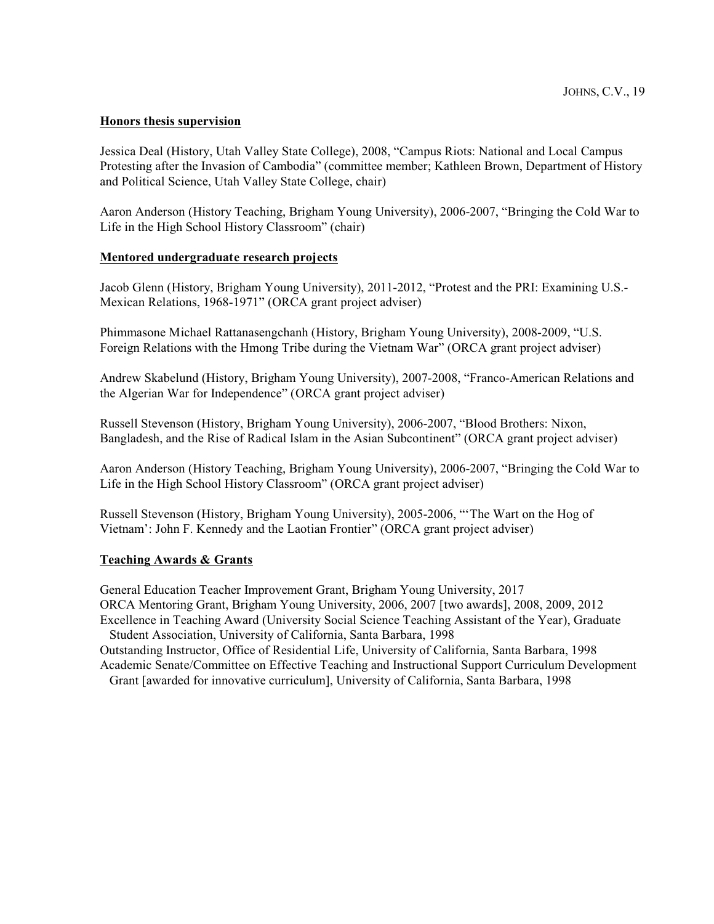## **Honors thesis supervision**

Jessica Deal (History, Utah Valley State College), 2008, "Campus Riots: National and Local Campus Protesting after the Invasion of Cambodia" (committee member; Kathleen Brown, Department of History and Political Science, Utah Valley State College, chair)

Aaron Anderson (History Teaching, Brigham Young University), 2006-2007, "Bringing the Cold War to Life in the High School History Classroom" (chair)

## **Mentored undergraduate research projects**

Jacob Glenn (History, Brigham Young University), 2011-2012, "Protest and the PRI: Examining U.S.- Mexican Relations, 1968-1971" (ORCA grant project adviser)

Phimmasone Michael Rattanasengchanh (History, Brigham Young University), 2008-2009, "U.S. Foreign Relations with the Hmong Tribe during the Vietnam War" (ORCA grant project adviser)

Andrew Skabelund (History, Brigham Young University), 2007-2008, "Franco-American Relations and the Algerian War for Independence" (ORCA grant project adviser)

Russell Stevenson (History, Brigham Young University), 2006-2007, "Blood Brothers: Nixon, Bangladesh, and the Rise of Radical Islam in the Asian Subcontinent" (ORCA grant project adviser)

Aaron Anderson (History Teaching, Brigham Young University), 2006-2007, "Bringing the Cold War to Life in the High School History Classroom" (ORCA grant project adviser)

Russell Stevenson (History, Brigham Young University), 2005-2006, "'The Wart on the Hog of Vietnam': John F. Kennedy and the Laotian Frontier" (ORCA grant project adviser)

#### **Teaching Awards & Grants**

General Education Teacher Improvement Grant, Brigham Young University, 2017 ORCA Mentoring Grant, Brigham Young University, 2006, 2007 [two awards], 2008, 2009, 2012 Excellence in Teaching Award (University Social Science Teaching Assistant of the Year), Graduate Student Association, University of California, Santa Barbara, 1998

Outstanding Instructor, Office of Residential Life, University of California, Santa Barbara, 1998 Academic Senate/Committee on Effective Teaching and Instructional Support Curriculum Development

Grant [awarded for innovative curriculum], University of California, Santa Barbara, 1998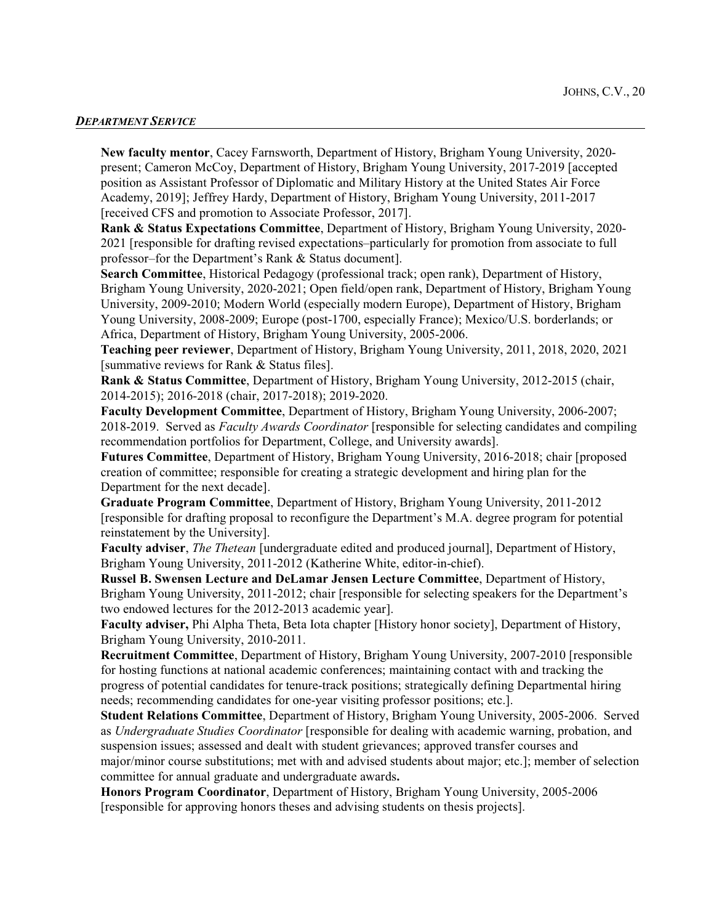#### *DEPARTMENT SERVICE*

**New faculty mentor**, Cacey Farnsworth, Department of History, Brigham Young University, 2020 present; Cameron McCoy, Department of History, Brigham Young University, 2017-2019 [accepted position as Assistant Professor of Diplomatic and Military History at the United States Air Force Academy, 2019]; Jeffrey Hardy, Department of History, Brigham Young University, 2011-2017 [received CFS and promotion to Associate Professor, 2017].

**Rank & Status Expectations Committee**, Department of History, Brigham Young University, 2020- 2021 [responsible for drafting revised expectations–particularly for promotion from associate to full professor–for the Department's Rank & Status document].

**Search Committee**, Historical Pedagogy (professional track; open rank), Department of History, Brigham Young University, 2020-2021; Open field/open rank, Department of History, Brigham Young University, 2009-2010; Modern World (especially modern Europe), Department of History, Brigham Young University, 2008-2009; Europe (post-1700, especially France); Mexico/U.S. borderlands; or Africa, Department of History, Brigham Young University, 2005-2006.

**Teaching peer reviewer**, Department of History, Brigham Young University, 2011, 2018, 2020, 2021 [summative reviews for Rank & Status files].

**Rank & Status Committee**, Department of History, Brigham Young University, 2012-2015 (chair, 2014-2015); 2016-2018 (chair, 2017-2018); 2019-2020.

**Faculty Development Committee**, Department of History, Brigham Young University, 2006-2007; 2018-2019. Served as *Faculty Awards Coordinator* [responsible for selecting candidates and compiling recommendation portfolios for Department, College, and University awards].

**Futures Committee**, Department of History, Brigham Young University, 2016-2018; chair [proposed creation of committee; responsible for creating a strategic development and hiring plan for the Department for the next decade].

**Graduate Program Committee**, Department of History, Brigham Young University, 2011-2012 [responsible for drafting proposal to reconfigure the Department's M.A. degree program for potential reinstatement by the University].

**Faculty adviser**, *The Thetean* [undergraduate edited and produced journal], Department of History, Brigham Young University, 2011-2012 (Katherine White, editor-in-chief).

**Russel B. Swensen Lecture and DeLamar Jensen Lecture Committee**, Department of History, Brigham Young University, 2011-2012; chair [responsible for selecting speakers for the Department's two endowed lectures for the 2012-2013 academic year].

**Faculty adviser,** Phi Alpha Theta, Beta Iota chapter [History honor society], Department of History, Brigham Young University, 2010-2011.

**Recruitment Committee**, Department of History, Brigham Young University, 2007-2010 [responsible for hosting functions at national academic conferences; maintaining contact with and tracking the progress of potential candidates for tenure-track positions; strategically defining Departmental hiring needs; recommending candidates for one-year visiting professor positions; etc.].

**Student Relations Committee**, Department of History, Brigham Young University, 2005-2006. Served as *Undergraduate Studies Coordinator* [responsible for dealing with academic warning, probation, and suspension issues; assessed and dealt with student grievances; approved transfer courses and major/minor course substitutions; met with and advised students about major; etc.]; member of selection committee for annual graduate and undergraduate awards**.**

**Honors Program Coordinator**, Department of History, Brigham Young University, 2005-2006 [responsible for approving honors theses and advising students on thesis projects].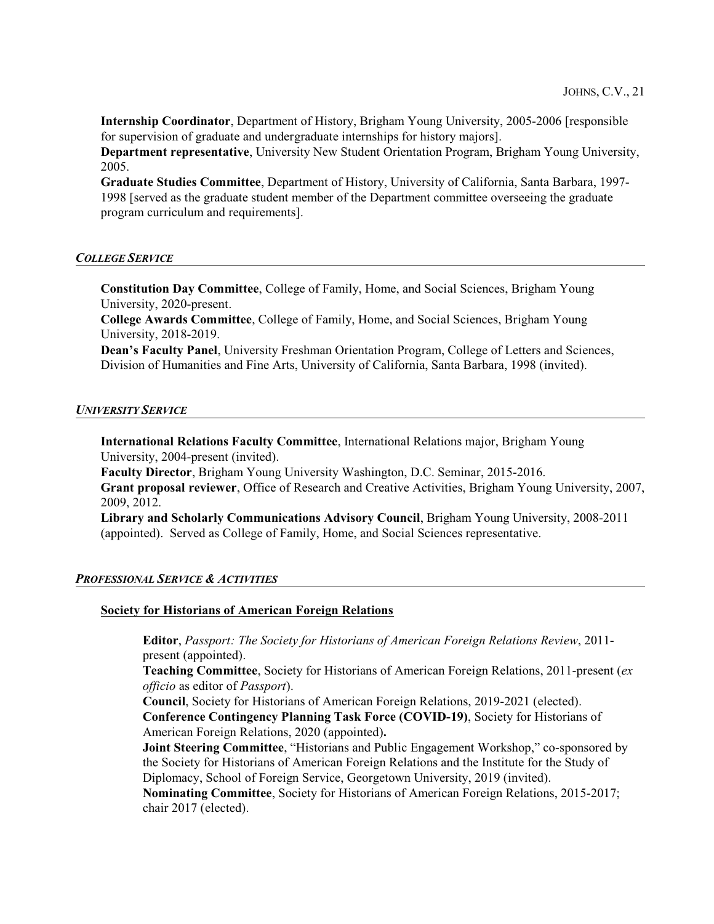**Internship Coordinator**, Department of History, Brigham Young University, 2005-2006 [responsible for supervision of graduate and undergraduate internships for history majors].

**Department representative**, University New Student Orientation Program, Brigham Young University, 2005.

**Graduate Studies Committee**, Department of History, University of California, Santa Barbara, 1997- 1998 [served as the graduate student member of the Department committee overseeing the graduate program curriculum and requirements].

## *COLLEGE SERVICE*

**Constitution Day Committee**, College of Family, Home, and Social Sciences, Brigham Young University, 2020-present.

**College Awards Committee**, College of Family, Home, and Social Sciences, Brigham Young University, 2018-2019.

**Dean's Faculty Panel**, University Freshman Orientation Program, College of Letters and Sciences, Division of Humanities and Fine Arts, University of California, Santa Barbara, 1998 (invited).

#### *UNIVERSITY SERVICE*

**International Relations Faculty Committee**, International Relations major, Brigham Young University, 2004-present (invited).

**Faculty Director**, Brigham Young University Washington, D.C. Seminar, 2015-2016. **Grant proposal reviewer**, Office of Research and Creative Activities, Brigham Young University, 2007, 2009, 2012.

**Library and Scholarly Communications Advisory Council**, Brigham Young University, 2008-2011 (appointed). Served as College of Family, Home, and Social Sciences representative.

#### *PROFESSIONAL SERVICE & ACTIVITIES*

#### **Society for Historians of American Foreign Relations**

**Editor**, *Passport: The Society for Historians of American Foreign Relations Review*, 2011 present (appointed).

**Teaching Committee**, Society for Historians of American Foreign Relations, 2011-present (*ex officio* as editor of *Passport*).

**Council**, Society for Historians of American Foreign Relations, 2019-2021 (elected).

**Conference Contingency Planning Task Force (COVID-19)**, Society for Historians of American Foreign Relations, 2020 (appointed)**.**

**Joint Steering Committee**, "Historians and Public Engagement Workshop," co-sponsored by the Society for Historians of American Foreign Relations and the Institute for the Study of Diplomacy, School of Foreign Service, Georgetown University, 2019 (invited).

**Nominating Committee**, Society for Historians of American Foreign Relations, 2015-2017; chair 2017 (elected).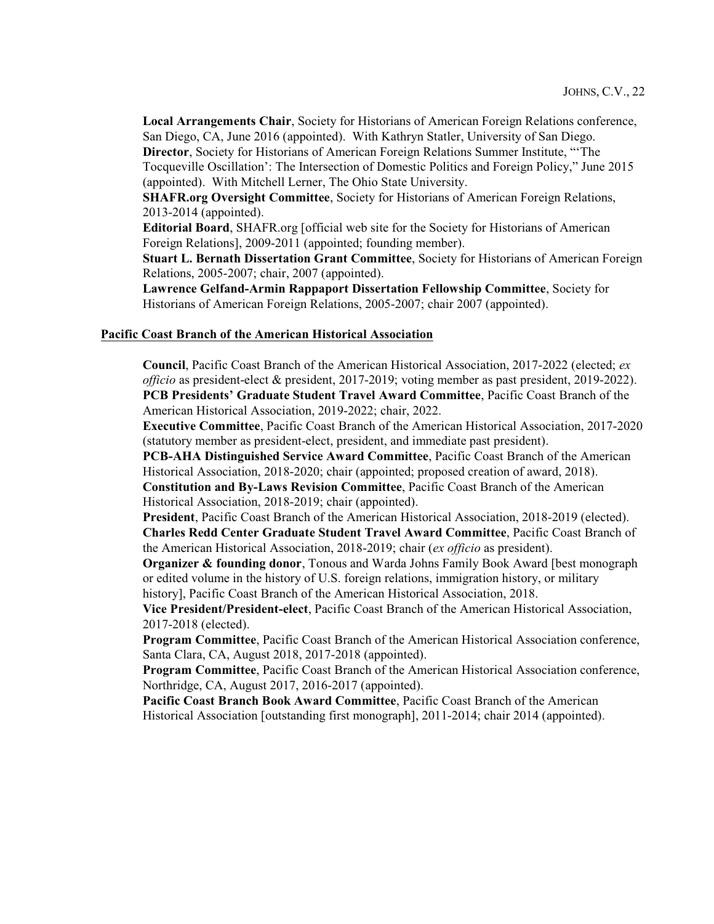**Local Arrangements Chair**, Society for Historians of American Foreign Relations conference, San Diego, CA, June 2016 (appointed). With Kathryn Statler, University of San Diego. **Director**, Society for Historians of American Foreign Relations Summer Institute, "'The

Tocqueville Oscillation': The Intersection of Domestic Politics and Foreign Policy," June 2015 (appointed). With Mitchell Lerner, The Ohio State University.

**SHAFR.org Oversight Committee**, Society for Historians of American Foreign Relations, 2013-2014 (appointed).

**Editorial Board**, SHAFR.org [official web site for the Society for Historians of American Foreign Relations], 2009-2011 (appointed; founding member).

**Stuart L. Bernath Dissertation Grant Committee**, Society for Historians of American Foreign Relations, 2005-2007; chair, 2007 (appointed).

**Lawrence Gelfand-Armin Rappaport Dissertation Fellowship Committee**, Society for Historians of American Foreign Relations, 2005-2007; chair 2007 (appointed).

#### **Pacific Coast Branch of the American Historical Association**

**Council**, Pacific Coast Branch of the American Historical Association, 2017-2022 (elected; *ex officio* as president-elect & president, 2017-2019; voting member as past president, 2019-2022). **PCB Presidents' Graduate Student Travel Award Committee**, Pacific Coast Branch of the American Historical Association, 2019-2022; chair, 2022.

**Executive Committee**, Pacific Coast Branch of the American Historical Association, 2017-2020 (statutory member as president-elect, president, and immediate past president).

**PCB-AHA Distinguished Service Award Committee**, Pacific Coast Branch of the American Historical Association, 2018-2020; chair (appointed; proposed creation of award, 2018).

**Constitution and By-Laws Revision Committee**, Pacific Coast Branch of the American Historical Association, 2018-2019; chair (appointed).

**President**, Pacific Coast Branch of the American Historical Association, 2018-2019 (elected). **Charles Redd Center Graduate Student Travel Award Committee**, Pacific Coast Branch of the American Historical Association, 2018-2019; chair (*ex officio* as president).

**Organizer & founding donor**, Tonous and Warda Johns Family Book Award [best monograph] or edited volume in the history of U.S. foreign relations, immigration history, or military history], Pacific Coast Branch of the American Historical Association, 2018.

**Vice President/President-elect**, Pacific Coast Branch of the American Historical Association, 2017-2018 (elected).

**Program Committee**, Pacific Coast Branch of the American Historical Association conference, Santa Clara, CA, August 2018, 2017-2018 (appointed).

**Program Committee**, Pacific Coast Branch of the American Historical Association conference, Northridge, CA, August 2017, 2016-2017 (appointed).

**Pacific Coast Branch Book Award Committee**, Pacific Coast Branch of the American Historical Association [outstanding first monograph], 2011-2014; chair 2014 (appointed).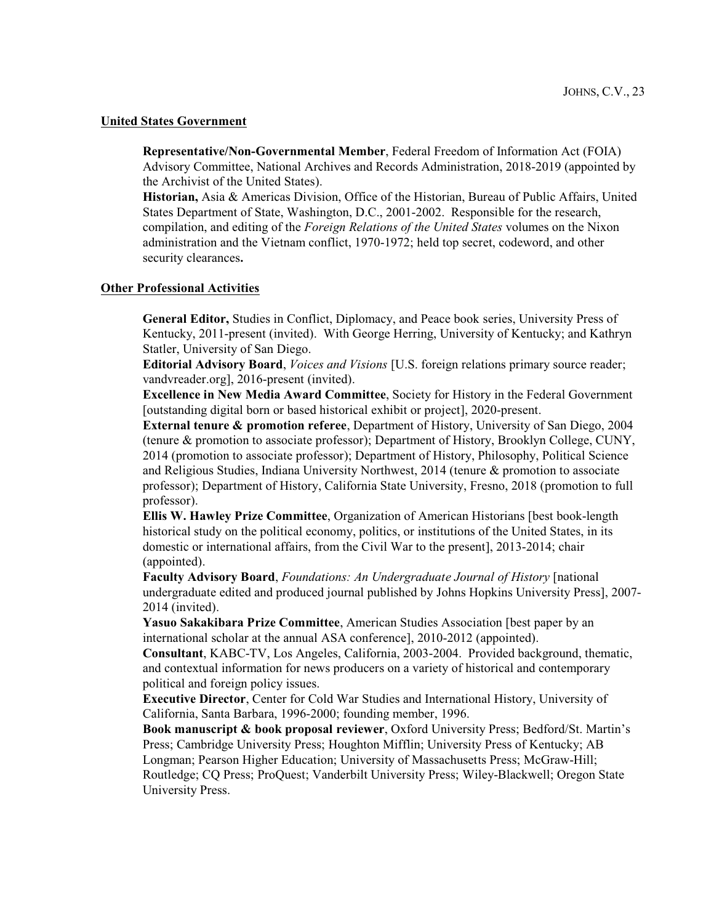#### **United States Government**

**Representative/Non-Governmental Member**, Federal Freedom of Information Act (FOIA) Advisory Committee, National Archives and Records Administration, 2018-2019 (appointed by the Archivist of the United States).

**Historian,** Asia & Americas Division, Office of the Historian, Bureau of Public Affairs, United States Department of State, Washington, D.C., 2001-2002. Responsible for the research, compilation, and editing of the *Foreign Relations of the United States* volumes on the Nixon administration and the Vietnam conflict, 1970-1972; held top secret, codeword, and other security clearances**.**

## **Other Professional Activities**

**General Editor,** Studies in Conflict, Diplomacy, and Peace book series, University Press of Kentucky, 2011-present (invited). With George Herring, University of Kentucky; and Kathryn Statler, University of San Diego.

**Editorial Advisory Board**, *Voices and Visions* [U.S. foreign relations primary source reader; vandvreader.org], 2016-present (invited).

**Excellence in New Media Award Committee**, Society for History in the Federal Government [outstanding digital born or based historical exhibit or project], 2020-present.

**External tenure & promotion referee**, Department of History, University of San Diego, 2004 (tenure & promotion to associate professor); Department of History, Brooklyn College, CUNY, 2014 (promotion to associate professor); Department of History, Philosophy, Political Science and Religious Studies, Indiana University Northwest, 2014 (tenure & promotion to associate professor); Department of History, California State University, Fresno, 2018 (promotion to full professor).

**Ellis W. Hawley Prize Committee**, Organization of American Historians [best book-length historical study on the political economy, politics, or institutions of the United States, in its domestic or international affairs, from the Civil War to the present], 2013-2014; chair (appointed).

**Faculty Advisory Board**, *Foundations: An Undergraduate Journal of History* [national undergraduate edited and produced journal published by Johns Hopkins University Press], 2007- 2014 (invited).

**Yasuo Sakakibara Prize Committee**, American Studies Association [best paper by an international scholar at the annual ASA conference], 2010-2012 (appointed).

**Consultant**, KABC-TV, Los Angeles, California, 2003-2004. Provided background, thematic, and contextual information for news producers on a variety of historical and contemporary political and foreign policy issues.

**Executive Director**, Center for Cold War Studies and International History, University of California, Santa Barbara, 1996-2000; founding member, 1996.

**Book manuscript & book proposal reviewer**, Oxford University Press; Bedford/St. Martin's Press; Cambridge University Press; Houghton Mifflin; University Press of Kentucky; AB Longman; Pearson Higher Education; University of Massachusetts Press; McGraw-Hill; Routledge; CQ Press; ProQuest; Vanderbilt University Press; Wiley-Blackwell; Oregon State University Press.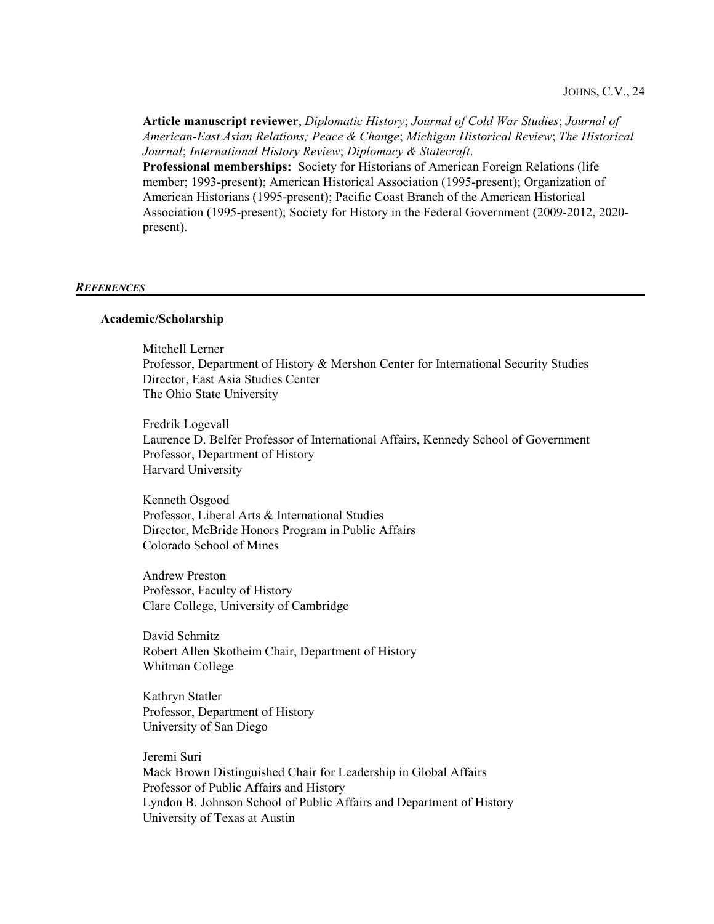**Article manuscript reviewer**, *Diplomatic History*; *Journal of Cold War Studies*; *Journal of American-East Asian Relations; Peace & Change*; *Michigan Historical Review*; *The Historical Journal*; *International History Review*; *Diplomacy & Statecraft*. **Professional memberships:** Society for Historians of American Foreign Relations (life member; 1993-present); American Historical Association (1995-present); Organization of American Historians (1995-present); Pacific Coast Branch of the American Historical Association (1995-present); Society for History in the Federal Government (2009-2012, 2020 present).

#### *REFERENCES*

#### **Academic/Scholarship**

Mitchell Lerner Professor, Department of History & Mershon Center for International Security Studies Director, East Asia Studies Center The Ohio State University

Fredrik Logevall Laurence D. Belfer Professor of International Affairs, Kennedy School of Government Professor, Department of History Harvard University

Kenneth Osgood Professor, Liberal Arts & International Studies Director, McBride Honors Program in Public Affairs Colorado School of Mines

Andrew Preston Professor, Faculty of History Clare College, University of Cambridge

David Schmitz Robert Allen Skotheim Chair, Department of History Whitman College

Kathryn Statler Professor, Department of History University of San Diego

Jeremi Suri Mack Brown Distinguished Chair for Leadership in Global Affairs Professor of Public Affairs and History Lyndon B. Johnson School of Public Affairs and Department of History University of Texas at Austin